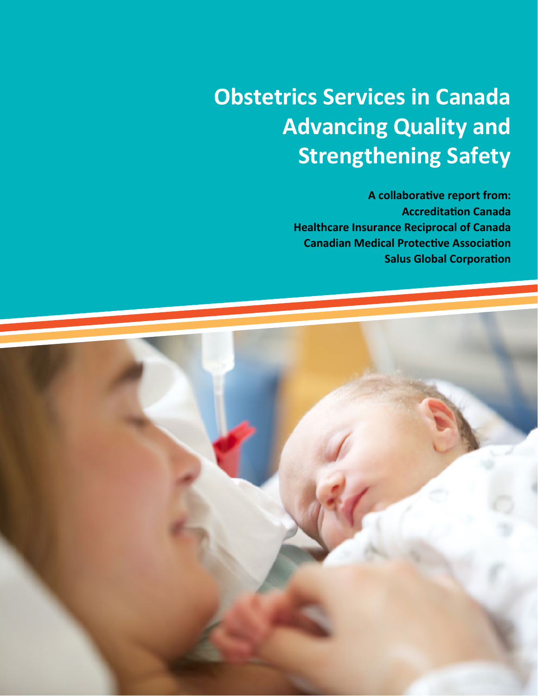**A collaborative report from: Accreditation Canada Healthcare Insurance Reciprocal of Canada Canadian Medical Protective Association Salus Global Corporation**

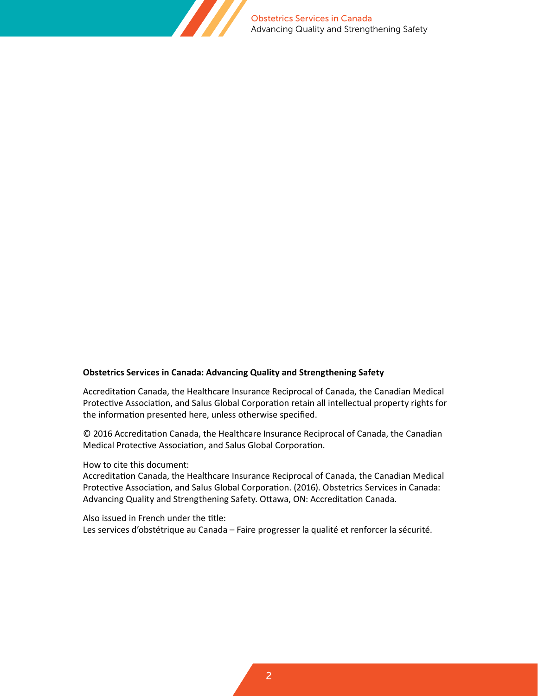

#### **Obstetrics Services in Canada: Advancing Quality and Strengthening Safety**

Accreditation Canada, the Healthcare Insurance Reciprocal of Canada, the Canadian Medical Protective Association, and Salus Global Corporation retain all intellectual property rights for the information presented here, unless otherwise specified.

© 2016 Accreditation Canada, the Healthcare Insurance Reciprocal of Canada, the Canadian Medical Protective Association, and Salus Global Corporation.

How to cite this document:

Accreditation Canada, the Healthcare Insurance Reciprocal of Canada, the Canadian Medical Protective Association, and Salus Global Corporation. (2016). Obstetrics Services in Canada: Advancing Quality and Strengthening Safety. Ottawa, ON: Accreditation Canada.

Also issued in French under the title:

Les services d'obstétrique au Canada – Faire progresser la qualité et renforcer la sécurité.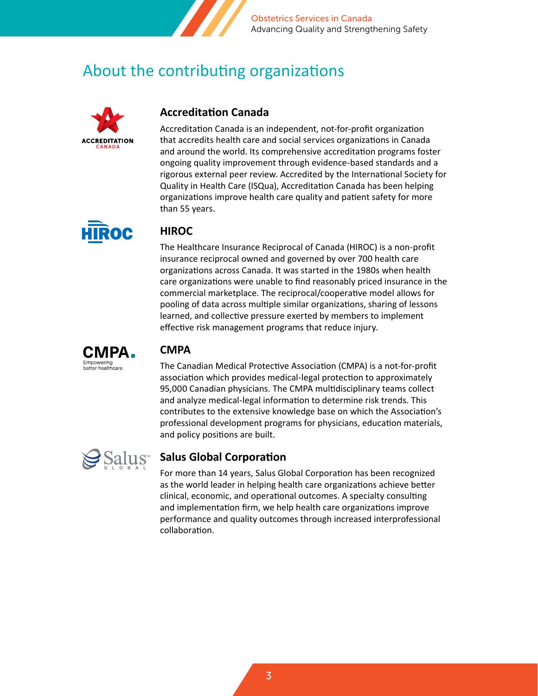

## About the contributing organizations



#### **Accreditation Canada**

Accreditation Canada is an independent, not-for-profit organization that accredits health care and social services organizations in Canada and around the world. Its comprehensive accreditation programs foster ongoing quality improvement through evidence-based standards and a rigorous external peer review. Accredited by the International Society for Quality in Health Care (ISQua), Accreditation Canada has been helping organizations improve health care quality and patient safety for more than 55 years.



#### **HIROC**

The Healthcare Insurance Reciprocal of Canada (HIROC) is a non-profit insurance reciprocal owned and governed by over 700 health care organizations across Canada. It was started in the 1980s when health care organizations were unable to find reasonably priced insurance in the commercial marketplace. The reciprocal/cooperative model allows for pooling of data across multiple similar organizations, sharing of lessons learned, and collective pressure exerted by members to implement effective risk management programs that reduce injury.



#### **CMPA**

The Canadian Medical Protective Association (CMPA) is a not-for-profit association which provides medical-legal protection to approximately 95,000 Canadian physicians. The CMPA multidisciplinary teams collect and analyze medical-legal information to determine risk trends. This contributes to the extensive knowledge base on which the Association's professional development programs for physicians, education materials, and policy positions are built.



### **Salus Global Corporation**

For more than 14 years, Salus Global Corporation has been recognized as the world leader in helping health care organizations achieve better clinical, economic, and operational outcomes. A specialty consulting and implementation firm, we help health care organizations improve performance and quality outcomes through increased interprofessional collaboration.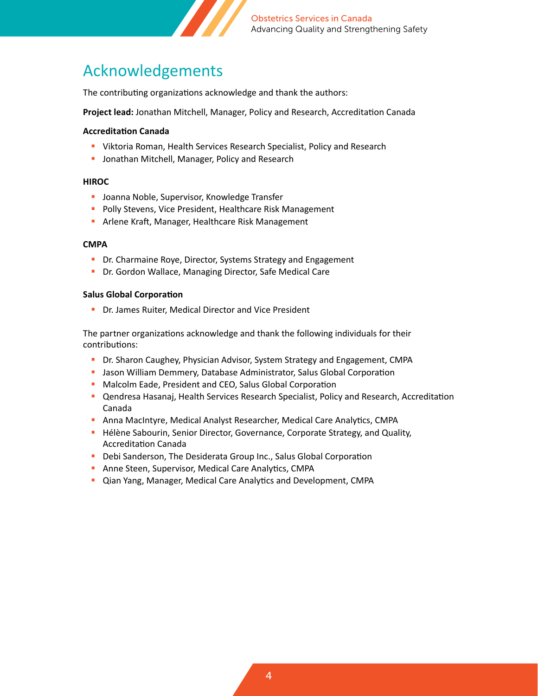

## Acknowledgements

The contributing organizations acknowledge and thank the authors:

**Project lead:** Jonathan Mitchell, Manager, Policy and Research, Accreditation Canada

#### **Accreditation Canada**

- Viktoria Roman, Health Services Research Specialist, Policy and Research
- **Jonathan Mitchell, Manager, Policy and Research**

#### **HIROC**

- **Joanna Noble, Supervisor, Knowledge Transfer**
- **Polly Stevens, Vice President, Healthcare Risk Management**
- **-** Arlene Kraft, Manager, Healthcare Risk Management

#### **CMPA**

- **Dr.** Charmaine Roye, Director, Systems Strategy and Engagement
- **Dr.** Gordon Wallace, Managing Director, Safe Medical Care

#### **Salus Global Corporation**

**-** Dr. James Ruiter, Medical Director and Vice President

The partner organizations acknowledge and thank the following individuals for their contributions:

- **Dr. Sharon Caughey, Physician Advisor, System Strategy and Engagement, CMPA**
- **Jason William Demmery, Database Administrator, Salus Global Corporation**
- **Malcolm Eade, President and CEO, Salus Global Corporation**
- Qendresa Hasanaj, Health Services Research Specialist, Policy and Research, Accreditation Canada
- Anna MacIntyre, Medical Analyst Researcher, Medical Care Analytics, CMPA
- **H** Hélène Sabourin, Senior Director, Governance, Corporate Strategy, and Quality, Accreditation Canada
- **Debi Sanderson, The Desiderata Group Inc., Salus Global Corporation**
- **Anne Steen, Supervisor, Medical Care Analytics, CMPA**
- Qian Yang, Manager, Medical Care Analytics and Development, CMPA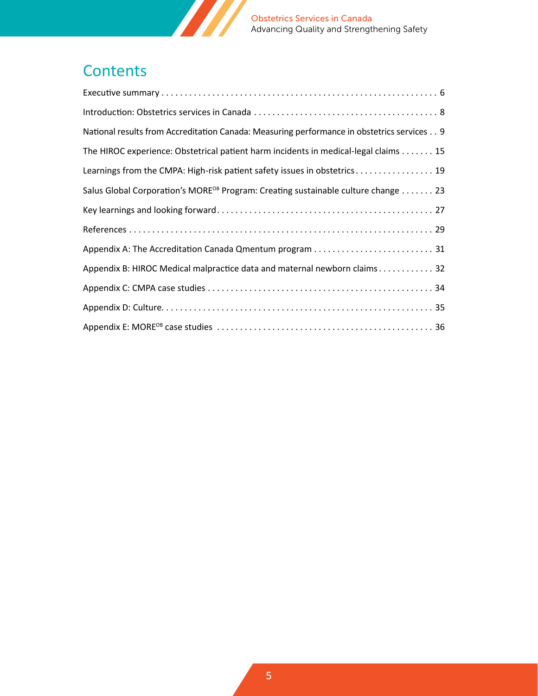

## **Contents**

| National results from Accreditation Canada: Measuring performance in obstetrics services 9    |
|-----------------------------------------------------------------------------------------------|
| The HIROC experience: Obstetrical patient harm incidents in medical-legal claims 15           |
| Learnings from the CMPA: High-risk patient safety issues in obstetrics 19                     |
| Salus Global Corporation's MORE <sup>OB</sup> Program: Creating sustainable culture change 23 |
|                                                                                               |
|                                                                                               |
|                                                                                               |
| Appendix B: HIROC Medical malpractice data and maternal newborn claims 32                     |
|                                                                                               |
|                                                                                               |
|                                                                                               |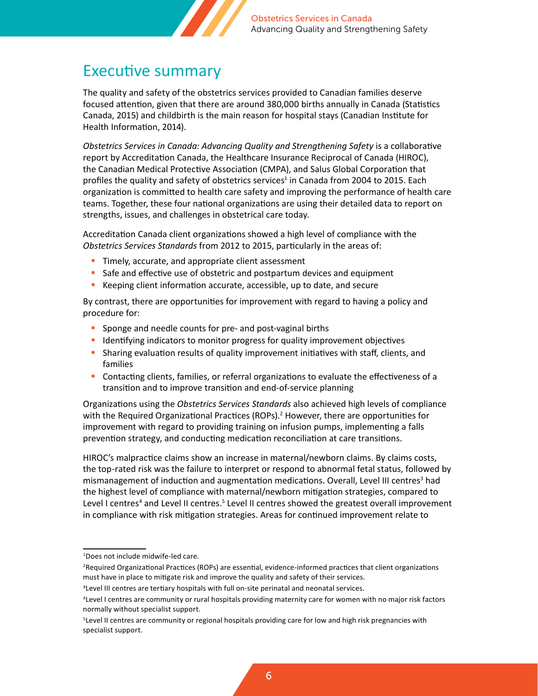

## <span id="page-5-0"></span>Executive summary

The quality and safety of the obstetrics services provided to Canadian families deserve focused attention, given that there are around 380,000 births annually in Canada (Statistics Canada, 2015) and childbirth is the main reason for hospital stays (Canadian Institute for Health Information, 2014).

*Obstetrics Services in Canada: Advancing Quality and Strengthening Safety* is a collaborative report by Accreditation Canada, the Healthcare Insurance Reciprocal of Canada (HIROC), the Canadian Medical Protective Association (CMPA), and Salus Global Corporation that profiles the quality and safety of obstetrics services<sup>1</sup> in Canada from 2004 to 2015. Each organization is committed to health care safety and improving the performance of health care teams. Together, these four national organizations are using their detailed data to report on strengths, issues, and challenges in obstetrical care today.

Accreditation Canada client organizations showed a high level of compliance with the *Obstetrics Services Standards* from 2012 to 2015, particularly in the areas of:

- **Timely, accurate, and appropriate client assessment**
- Safe and effective use of obstetric and postpartum devices and equipment
- Keeping client information accurate, accessible, up to date, and secure

By contrast, there are opportunities for improvement with regard to having a policy and procedure for:

- **Sponge and needle counts for pre- and post-vaginal births**
- **If all identifying indicators to monitor progress for quality improvement objectives**
- **Sharing evaluation results of quality improvement initiatives with staff, clients, and** families
- Contacting clients, families, or referral organizations to evaluate the effectiveness of a transition and to improve transition and end-of-service planning

Organizations using the *Obstetrics Services Standards* also achieved high levels of compliance with the Required Organizational Practices (ROPs).<sup>2</sup> However, there are opportunities for improvement with regard to providing training on infusion pumps, implementing a falls prevention strategy, and conducting medication reconciliation at care transitions.

HIROC's malpractice claims show an increase in maternal/newborn claims. By claims costs, the top-rated risk was the failure to interpret or respond to abnormal fetal status, followed by mismanagement of induction and augmentation medications. Overall, Level III centres<sup>3</sup> had the highest level of compliance with maternal/newborn mitigation strategies, compared to Level I centres<sup>4</sup> and Level II centres.<sup>5</sup> Level II centres showed the greatest overall improvement in compliance with risk mitigation strategies. Areas for continued improvement relate to

<sup>1</sup> Does not include midwife-led care.

<sup>2</sup> Required Organizational Practices (ROPs) are essential, evidence-informed practices that client organizations must have in place to mitigate risk and improve the quality and safety of their services.

<sup>3</sup>Level III centres are tertiary hospitals with full on-site perinatal and neonatal services.

<sup>4</sup> Level I centres are community or rural hospitals providing maternity care for women with no major risk factors normally without specialist support.

<sup>5</sup> Level II centres are community or regional hospitals providing care for low and high risk pregnancies with specialist support.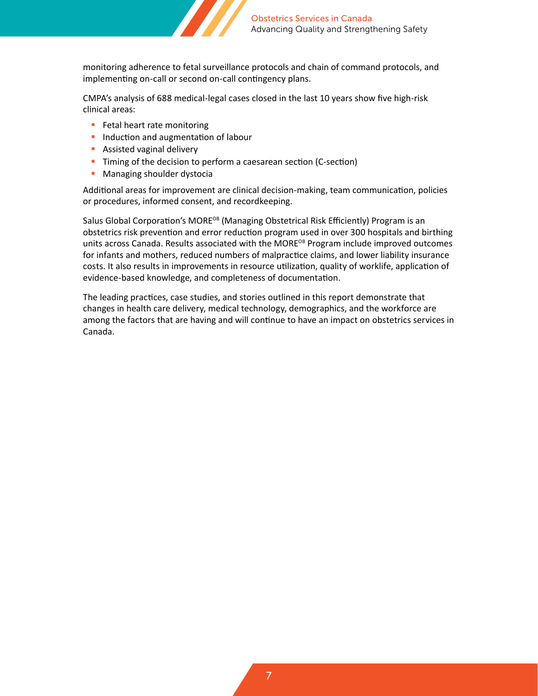

monitoring adherence to fetal surveillance protocols and chain of command protocols, and implementing on-call or second on-call contingency plans.

CMPA's analysis of 688 medical-legal cases closed in the last 10 years show five high-risk clinical areas:

- **Fetal heart rate monitoring**
- **Induction and augmentation of labour**
- **Assisted vaginal delivery**
- **Timing of the decision to perform a caesarean section (C-section)**
- **Managing shoulder dystocial**

Additional areas for improvement are clinical decision-making, team communication, policies or procedures, informed consent, and recordkeeping.

Salus Global Corporation's MORE<sup>OB</sup> (Managing Obstetrical Risk Efficiently) Program is an obstetrics risk prevention and error reduction program used in over 300 hospitals and birthing units across Canada. Results associated with the MORE<sup>OB</sup> Program include improved outcomes for infants and mothers, reduced numbers of malpractice claims, and lower liability insurance costs. It also results in improvements in resource utilization, quality of worklife, application of evidence-based knowledge, and completeness of documentation.

The leading practices, case studies, and stories outlined in this report demonstrate that changes in health care delivery, medical technology, demographics, and the workforce are among the factors that are having and will continue to have an impact on obstetrics services in Canada.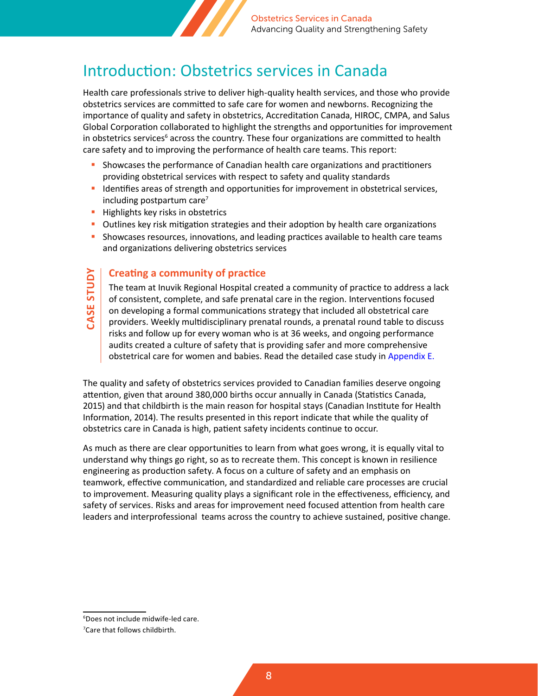

## <span id="page-7-0"></span>Introduction: Obstetrics services in Canada

Health care professionals strive to deliver high-quality health services, and those who provide obstetrics services are committed to safe care for women and newborns. Recognizing the importance of quality and safety in obstetrics, Accreditation Canada, HIROC, CMPA, and Salus Global Corporation collaborated to highlight the strengths and opportunities for improvement in obstetrics services<sup>6</sup> across the country. These four organizations are committed to health care safety and to improving the performance of health care teams. This report:

- Showcases the performance of Canadian health care organizations and practitioners providing obstetrical services with respect to safety and quality standards
- Identifies areas of strength and opportunities for improvement in obstetrical services, including postpartum care<sup>7</sup>
- **Highlights key risks in obstetrics**

**CASE STUDY**

**CASE STUDY** 

- **D** Outlines key risk mitigation strategies and their adoption by health care organizations
- Showcases resources, innovations, and leading practices available to health care teams and organizations delivering obstetrics services

#### **Creating a community of practice**

The team at Inuvik Regional Hospital created a community of practice to address a lack of consistent, complete, and safe prenatal care in the region. Interventions focused on developing a formal communications strategy that included all obstetrical care providers. Weekly multidisciplinary prenatal rounds, a prenatal round table to discuss risks and follow up for every woman who is at 36 weeks, and ongoing performance audits created a culture of safety that is providing safer and more comprehensive obstetrical care for women and babies. Read the detailed case study in [Appendix E.](#page-35-0)

The quality and safety of obstetrics services provided to Canadian families deserve ongoing attention, given that around 380,000 births occur annually in Canada (Statistics Canada, 2015) and that childbirth is the main reason for hospital stays (Canadian Institute for Health Information, 2014). The results presented in this report indicate that while the quality of obstetrics care in Canada is high, patient safety incidents continue to occur.

As much as there are clear opportunities to learn from what goes wrong, it is equally vital to understand why things go right, so as to recreate them. This concept is known in resilience engineering as production safety. A focus on a culture of safety and an emphasis on teamwork, effective communication, and standardized and reliable care processes are crucial to improvement. Measuring quality plays a significant role in the effectiveness, efficiency, and safety of services. Risks and areas for improvement need focused attention from health care leaders and interprofessional teams across the country to achieve sustained, positive change.

<sup>6</sup> Does not include midwife-led care.

<sup>7</sup> Care that follows childbirth.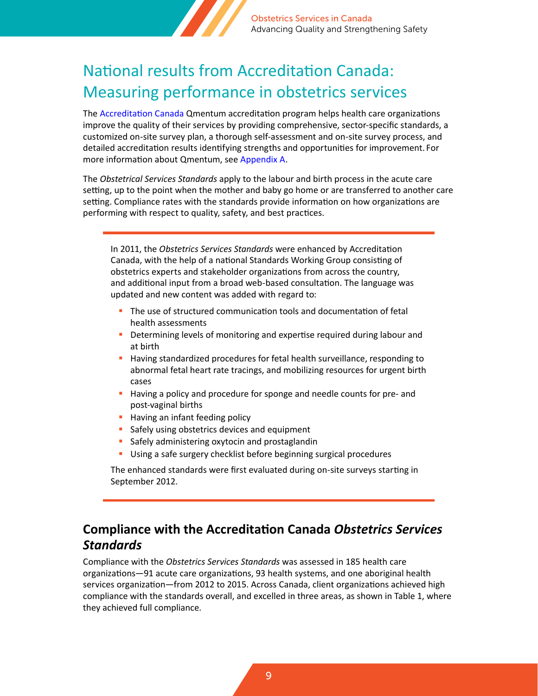

## <span id="page-8-0"></span>National results from Accreditation Canada: Measuring performance in obstetrics services

The [Accreditation Canada](https://accreditation.ca/) Qmentum accreditation program helps health care organizations improve the quality of their services by providing comprehensive, sector-specific standards, a customized on-site survey plan, a thorough self-assessment and on-site survey process, and detailed accreditation results identifying strengths and opportunities for improvement. For more information about Qmentum, see [Appendix A.](#page-30-0)

The *Obstetrical Services Standards* apply to the labour and birth process in the acute care setting, up to the point when the mother and baby go home or are transferred to another care setting. Compliance rates with the standards provide information on how organizations are performing with respect to quality, safety, and best practices.

In 2011, the *Obstetrics Services Standards* were enhanced by Accreditation Canada, with the help of a national Standards Working Group consisting of obstetrics experts and stakeholder organizations from across the country, and additional input from a broad web-based consultation. The language was updated and new content was added with regard to:

- The use of structured communication tools and documentation of fetal health assessments
- **Determining levels of monitoring and expertise required during labour and** at birth
- **Having standardized procedures for fetal health surveillance, responding to** abnormal fetal heart rate tracings, and mobilizing resources for urgent birth cases
- **Having a policy and procedure for sponge and needle counts for pre- and** post-vaginal births
- **Having an infant feeding policy**
- Safely using obstetrics devices and equipment
- **Safely administering oxytocin and prostaglandin**
- Using a safe surgery checklist before beginning surgical procedures

The enhanced standards were first evaluated during on-site surveys starting in September 2012.

### **Compliance with the Accreditation Canada** *Obstetrics Services Standards*

Compliance with the *Obstetrics Services Standards* was assessed in 185 health care organizations—91 acute care organizations, 93 health systems, and one aboriginal health services organization—from 2012 to 2015. Across Canada, client organizations achieved high compliance with the standards overall, and excelled in three areas, as shown in Table 1, where they achieved full compliance.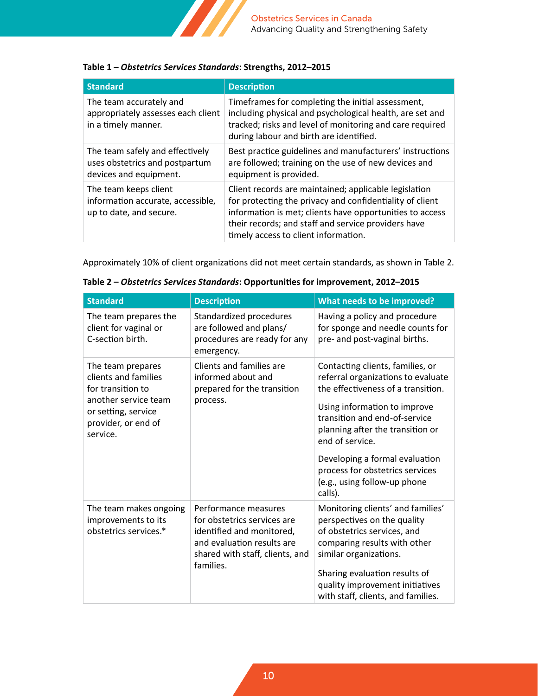

#### **Table 1 –** *Obstetrics Services Standards***: Strengths, 2012–2015**

| <b>Standard</b>                                                                             | <b>Description</b>                                                                                                                                                                                                                                                           |
|---------------------------------------------------------------------------------------------|------------------------------------------------------------------------------------------------------------------------------------------------------------------------------------------------------------------------------------------------------------------------------|
| The team accurately and<br>appropriately assesses each client<br>in a timely manner.        | Timeframes for completing the initial assessment,<br>including physical and psychological health, are set and<br>tracked; risks and level of monitoring and care required<br>during labour and birth are identified.                                                         |
| The team safely and effectively<br>uses obstetrics and postpartum<br>devices and equipment. | Best practice guidelines and manufacturers' instructions<br>are followed; training on the use of new devices and<br>equipment is provided.                                                                                                                                   |
| The team keeps client<br>information accurate, accessible,<br>up to date, and secure.       | Client records are maintained; applicable legislation<br>for protecting the privacy and confidentiality of client<br>information is met; clients have opportunities to access<br>their records; and staff and service providers have<br>timely access to client information. |

Approximately 10% of client organizations did not meet certain standards, as shown in Table 2.

| <b>Standard</b>                                                                                                                                  | <b>Description</b>                                                                                                                                             | What needs to be improved?                                                                                                                                                                                                                                                                                                                           |
|--------------------------------------------------------------------------------------------------------------------------------------------------|----------------------------------------------------------------------------------------------------------------------------------------------------------------|------------------------------------------------------------------------------------------------------------------------------------------------------------------------------------------------------------------------------------------------------------------------------------------------------------------------------------------------------|
| The team prepares the<br>client for vaginal or<br>C-section birth.                                                                               | Standardized procedures<br>are followed and plans/<br>procedures are ready for any<br>emergency.                                                               | Having a policy and procedure<br>for sponge and needle counts for<br>pre- and post-vaginal births.                                                                                                                                                                                                                                                   |
| The team prepares<br>clients and families<br>for transition to<br>another service team<br>or setting, service<br>provider, or end of<br>service. | Clients and families are<br>informed about and<br>prepared for the transition<br>process.                                                                      | Contacting clients, families, or<br>referral organizations to evaluate<br>the effectiveness of a transition.<br>Using information to improve<br>transition and end-of-service<br>planning after the transition or<br>end of service.<br>Developing a formal evaluation<br>process for obstetrics services<br>(e.g., using follow-up phone<br>calls). |
| The team makes ongoing<br>improvements to its<br>obstetrics services.*                                                                           | Performance measures<br>for obstetrics services are<br>identified and monitored,<br>and evaluation results are<br>shared with staff, clients, and<br>families. | Monitoring clients' and families'<br>perspectives on the quality<br>of obstetrics services, and<br>comparing results with other<br>similar organizations.<br>Sharing evaluation results of<br>quality improvement initiatives<br>with staff, clients, and families.                                                                                  |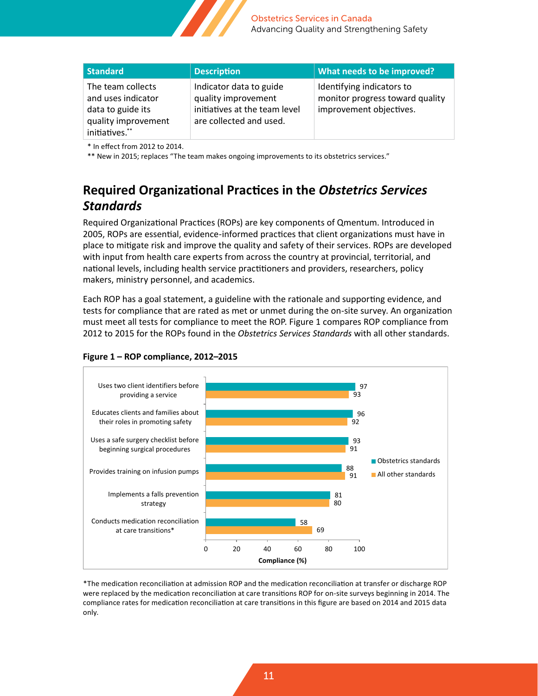

| <b>Standard</b>                                                                                       | <b>Description</b>                                                                                         | What needs to be improved?                                                              |
|-------------------------------------------------------------------------------------------------------|------------------------------------------------------------------------------------------------------------|-----------------------------------------------------------------------------------------|
| The team collects<br>and uses indicator<br>data to guide its<br>quality improvement<br>initiatives.** | Indicator data to guide<br>quality improvement<br>initiatives at the team level<br>are collected and used. | Identifying indicators to<br>monitor progress toward quality<br>improvement objectives. |

\* In effect from 2012 to 2014.

\*\* New in 2015; replaces "The team makes ongoing improvements to its obstetrics services."

### **Required Organizational Practices in the** *Obstetrics Services Standards*

Required Organizational Practices (ROPs) are key components of Qmentum. Introduced in 2005, ROPs are essential, evidence-informed practices that client organizations must have in place to mitigate risk and improve the quality and safety of their services. ROPs are developed with input from health care experts from across the country at provincial, territorial, and national levels, including health service practitioners and providers, researchers, policy makers, ministry personnel, and academics.

Each ROP has a goal statement, a guideline with the rationale and supporting evidence, and tests for compliance that are rated as met or unmet during the on-site survey. An organization must meet all tests for compliance to meet the ROP. Figure 1 compares ROP compliance from 2012 to 2015 for the ROPs found in the *Obstetrics Services Standards* with all other standards.



#### **Figure 1 – ROP compliance, 2012–2015**

\*The medication reconciliation at admission ROP and the medication reconciliation at transfer or discharge ROP were replaced by the medication reconciliation at care transitions ROP for on-site surveys beginning in 2014. The compliance rates for medication reconciliation at care transitions in this figure are based on 2014 and 2015 data only.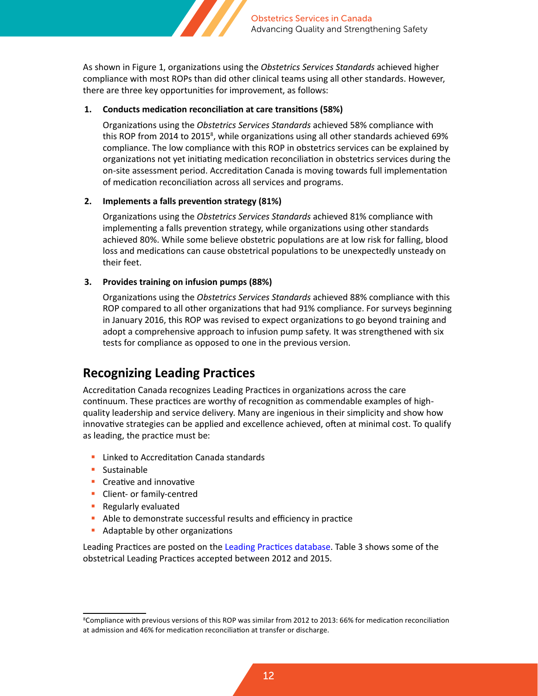

As shown in Figure 1, organizations using the *Obstetrics Services Standards* achieved higher compliance with most ROPs than did other clinical teams using all other standards. However, there are three key opportunities for improvement, as follows:

#### **1. Conducts medication reconciliation at care transitions (58%)**

Organizations using the *Obstetrics Services Standards* achieved 58% compliance with this ROP from 2014 to 2015<sup>8</sup>, while organizations using all other standards achieved 69% compliance. The low compliance with this ROP in obstetrics services can be explained by organizations not yet initiating medication reconciliation in obstetrics services during the on-site assessment period. Accreditation Canada is moving towards full implementation of medication reconciliation across all services and programs.

#### **2. Implements a falls prevention strategy (81%)**

Organizations using the *Obstetrics Services Standards* achieved 81% compliance with implementing a falls prevention strategy, while organizations using other standards achieved 80%. While some believe obstetric populations are at low risk for falling, blood loss and medications can cause obstetrical populations to be unexpectedly unsteady on their feet.

#### **3. Provides training on infusion pumps (88%)**

Organizations using the *Obstetrics Services Standards* achieved 88% compliance with this ROP compared to all other organizations that had 91% compliance. For surveys beginning in January 2016, this ROP was revised to expect organizations to go beyond training and adopt a comprehensive approach to infusion pump safety. It was strengthened with six tests for compliance as opposed to one in the previous version.

### **Recognizing Leading Practices**

Accreditation Canada recognizes Leading Practices in organizations across the care continuum. These practices are worthy of recognition as commendable examples of highquality leadership and service delivery. Many are ingenious in their simplicity and show how innovative strategies can be applied and excellence achieved, often at minimal cost. To qualify as leading, the practice must be:

- **Linked to Accreditation Canada standards**
- **Sustainable**
- **Creative and innovative**
- **Client- or family-centred**
- **Regularly evaluated**
- Able to demonstrate successful results and efficiency in practice
- **Adaptable by other organizations**

Leading Practices are posted on the [Leading Practices database](https://accreditation.ca/leading-practices). Table 3 shows some of the obstetrical Leading Practices accepted between 2012 and 2015.

<sup>8</sup> Compliance with previous versions of this ROP was similar from 2012 to 2013: 66% for medication reconciliation at admission and 46% for medication reconciliation at transfer or discharge.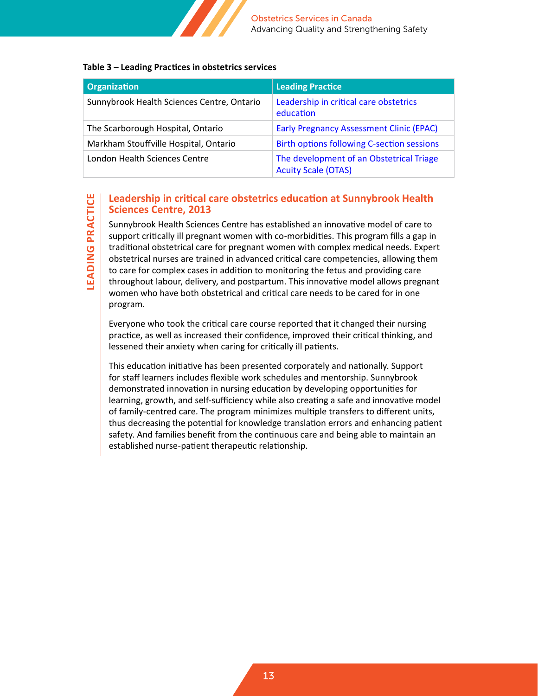

#### **Table 3 – Leading Practices in obstetrics services**

| Organization                               | <b>Leading Practice</b>                                                |
|--------------------------------------------|------------------------------------------------------------------------|
| Sunnybrook Health Sciences Centre, Ontario | Leadership in critical care obstetrics<br>education                    |
| The Scarborough Hospital, Ontario          | <b>Early Pregnancy Assessment Clinic (EPAC)</b>                        |
| Markham Stouffville Hospital, Ontario      | <b>Birth options following C-section sessions</b>                      |
| London Health Sciences Centre              | The development of an Obstetrical Triage<br><b>Acuity Scale (OTAS)</b> |

#### **Leadership in critical care obstetrics education at Sunnybrook Health Sciences Centre, 2013**

Sunnybrook Health Sciences Centre has established an innovative model of care to support critically ill pregnant women with co-morbidities. This program fills a gap in traditional obstetrical care for pregnant women with complex medical needs. Expert obstetrical nurses are trained in advanced critical care competencies, allowing them to care for complex cases in addition to monitoring the fetus and providing care throughout labour, delivery, and postpartum. This innovative model allows pregnant women who have both obstetrical and critical care needs to be cared for in one program.

Everyone who took the critical care course reported that it changed their nursing practice, as well as increased their confidence, improved their critical thinking, and lessened their anxiety when caring for critically ill patients.

This education initiative has been presented corporately and nationally. Support for staff learners includes flexible work schedules and mentorship. Sunnybrook demonstrated innovation in nursing education by developing opportunities for learning, growth, and self-sufficiency while also creating a safe and innovative model of family-centred care. The program minimizes multiple transfers to different units, thus decreasing the potential for knowledge translation errors and enhancing patient safety. And families benefit from the continuous care and being able to maintain an established nurse-patient therapeutic relationship.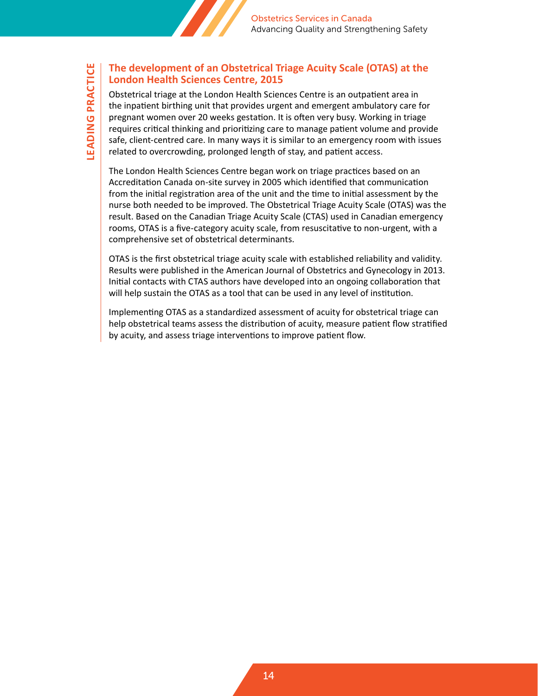

#### **The development of an Obstetrical Triage Acuity Scale (OTAS) at the London Health Sciences Centre, 2015**

Obstetrical triage at the London Health Sciences Centre is an outpatient area in the inpatient birthing unit that provides urgent and emergent ambulatory care for pregnant women over 20 weeks gestation. It is often very busy. Working in triage requires critical thinking and prioritizing care to manage patient volume and provide safe, client-centred care. In many ways it is similar to an emergency room with issues related to overcrowding, prolonged length of stay, and patient access.

The London Health Sciences Centre began work on triage practices based on an Accreditation Canada on-site survey in 2005 which identified that communication from the initial registration area of the unit and the time to initial assessment by the nurse both needed to be improved. The Obstetrical Triage Acuity Scale (OTAS) was the result. Based on the Canadian Triage Acuity Scale (CTAS) used in Canadian emergency rooms, OTAS is a five-category acuity scale, from resuscitative to non-urgent, with a comprehensive set of obstetrical determinants.

OTAS is the first obstetrical triage acuity scale with established reliability and validity. Results were published in the American Journal of Obstetrics and Gynecology in 2013. Initial contacts with CTAS authors have developed into an ongoing collaboration that will help sustain the OTAS as a tool that can be used in any level of institution.

Implementing OTAS as a standardized assessment of acuity for obstetrical triage can help obstetrical teams assess the distribution of acuity, measure patient flow stratified by acuity, and assess triage interventions to improve patient flow.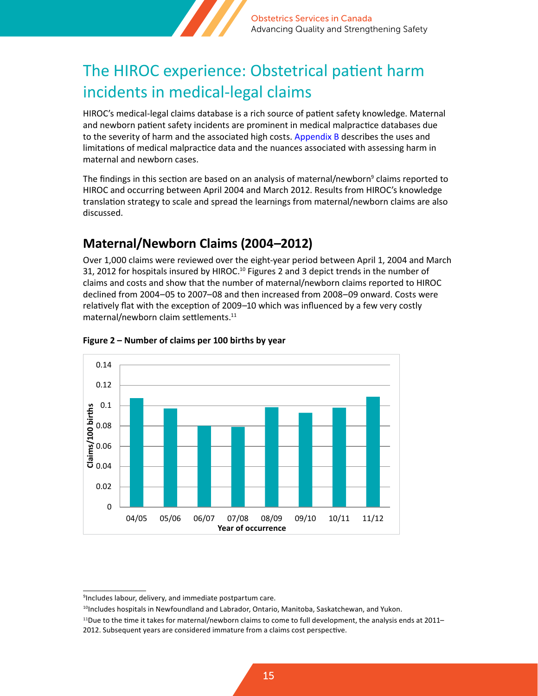

## <span id="page-14-0"></span>The HIROC experience: Obstetrical patient harm incidents in medical-legal claims

HIROC's medical-legal claims database is a rich source of patient safety knowledge. Maternal and newborn patient safety incidents are prominent in medical malpractice databases due to the severity of harm and the associated high costs. [Appendix B](#page-31-0) describes the uses and limitations of medical malpractice data and the nuances associated with assessing harm in maternal and newborn cases.

The findings in this section are based on an analysis of maternal/newborn<sup>9</sup> claims reported to HIROC and occurring between April 2004 and March 2012. Results from HIROC's knowledge translation strategy to scale and spread the learnings from maternal/newborn claims are also discussed.

## **Maternal/Newborn Claims (2004–2012)**

Over 1,000 claims were reviewed over the eight-year period between April 1, 2004 and March 31, 2012 for hospitals insured by HIROC.<sup>10</sup> Figures 2 and 3 depict trends in the number of claims and costs and show that the number of maternal/newborn claims reported to HIROC declined from 2004–05 to 2007–08 and then increased from 2008–09 onward. Costs were relatively flat with the exception of 2009–10 which was influenced by a few very costly maternal/newborn claim settlements.<sup>11</sup>



#### **Figure 2 – Number of claims per 100 births by year**

<sup>9</sup> Includes labour, delivery, and immediate postpartum care.

<sup>&</sup>lt;sup>10</sup>Includes hospitals in Newfoundland and Labrador, Ontario, Manitoba, Saskatchewan, and Yukon.

 $11$ Due to the time it takes for maternal/newborn claims to come to full development, the analysis ends at 2011–

<sup>2012.</sup> Subsequent years are considered immature from a claims cost perspective.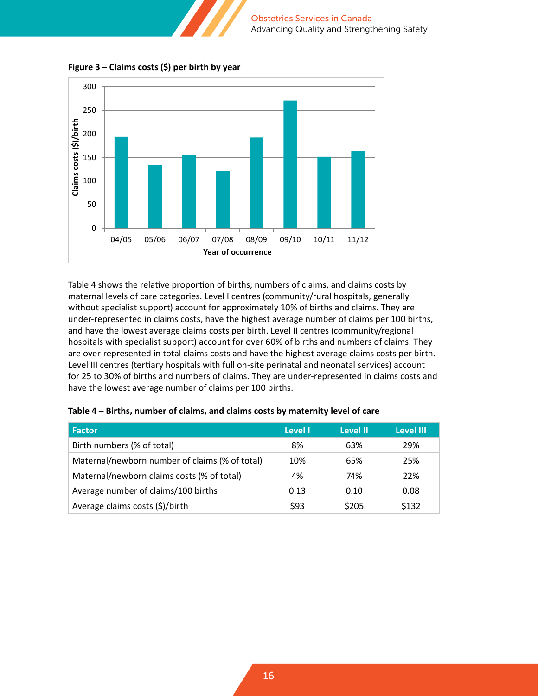

**Figure 3 – Claims costs (\$) per birth by year**

Table 4 shows the relative proportion of births, numbers of claims, and claims costs by maternal levels of care categories. Level I centres (community/rural hospitals, generally without specialist support) account for approximately 10% of births and claims. They are under-represented in claims costs, have the highest average number of claims per 100 births, and have the lowest average claims costs per birth. Level II centres (community/regional hospitals with specialist support) account for over 60% of births and numbers of claims. They are over-represented in total claims costs and have the highest average claims costs per birth. Level III centres (tertiary hospitals with full on-site perinatal and neonatal services) account for 25 to 30% of births and numbers of claims. They are under-represented in claims costs and have the lowest average number of claims per 100 births.

| <b>Factor</b>                                  | Level I | Level II | <b>Level III</b> |
|------------------------------------------------|---------|----------|------------------|
| Birth numbers (% of total)                     | 8%      | 63%      | 29%              |
| Maternal/newborn number of claims (% of total) | 10%     | 65%      | 25%              |
| Maternal/newborn claims costs (% of total)     | 4%      | 74%      | 22%              |
| Average number of claims/100 births            | 0.13    | 0.10     | 0.08             |
| Average claims costs (\$)/birth                | \$93    | \$205    | \$132            |

**Table 4 – Births, number of claims, and claims costs by maternity level of care**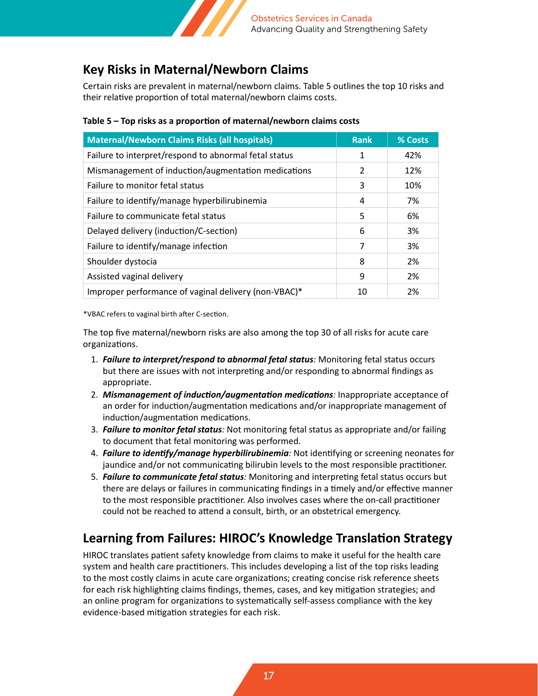

### **Key Risks in Maternal/Newborn Claims**

Certain risks are prevalent in maternal/newborn claims. Table 5 outlines the top 10 risks and their relative proportion of total maternal/newborn claims costs.

| <b>Maternal/Newborn Claims Risks (all hospitals)</b>  | <b>Rank</b> | % Costs |
|-------------------------------------------------------|-------------|---------|
| Failure to interpret/respond to abnormal fetal status | 1           | 42%     |
| Mismanagement of induction/augmentation medications   | 2           | 12%     |
| Failure to monitor fetal status                       | 3           | 10%     |
| Failure to identify/manage hyperbilirubinemia         | 4           | 7%      |
| Failure to communicate fetal status                   | 5           | 6%      |
| Delayed delivery (induction/C-section)                | 6           | 3%      |
| Failure to identify/manage infection                  | 7           | 3%      |
| Shoulder dystocia                                     | 8           | 2%      |
| Assisted vaginal delivery                             | 9           | 2%      |
| Improper performance of vaginal delivery (non-VBAC)*  | 10          | 2%      |

#### **Table 5 – Top risks as a proportion of maternal/newborn claims costs**

\*VBAC refers to vaginal birth after C-section.

The top five maternal/newborn risks are also among the top 30 of all risks for acute care organizations.

- 1. *Failure to interpret/respond to abnormal fetal status:* Monitoring fetal status occurs but there are issues with not interpreting and/or responding to abnormal findings as appropriate.
- 2. *Mismanagement of induction/augmentation medications:* Inappropriate acceptance of an order for induction/augmentation medications and/or inappropriate management of induction/augmentation medications.
- 3. *Failure to monitor fetal status:* Not monitoring fetal status as appropriate and/or failing to document that fetal monitoring was performed.
- 4. *Failure to identify/manage hyperbilirubinemia:* Not identifying or screening neonates for jaundice and/or not communicating bilirubin levels to the most responsible practitioner.
- 5. *Failure to communicate fetal status:* Monitoring and interpreting fetal status occurs but there are delays or failures in communicating findings in a timely and/or effective manner to the most responsible practitioner. Also involves cases where the on-call practitioner could not be reached to attend a consult, birth, or an obstetrical emergency.

### **Learning from Failures: HIROC's Knowledge Translation Strategy**

HIROC translates patient safety knowledge from claims to make it useful for the health care system and health care practitioners. This includes developing a list of the top risks leading to the most costly claims in acute care organizations; creating concise risk reference sheets for each risk highlighting claims findings, themes, cases, and key mitigation strategies; and an online program for organizations to systematically self-assess compliance with the key evidence-based mitigation strategies for each risk.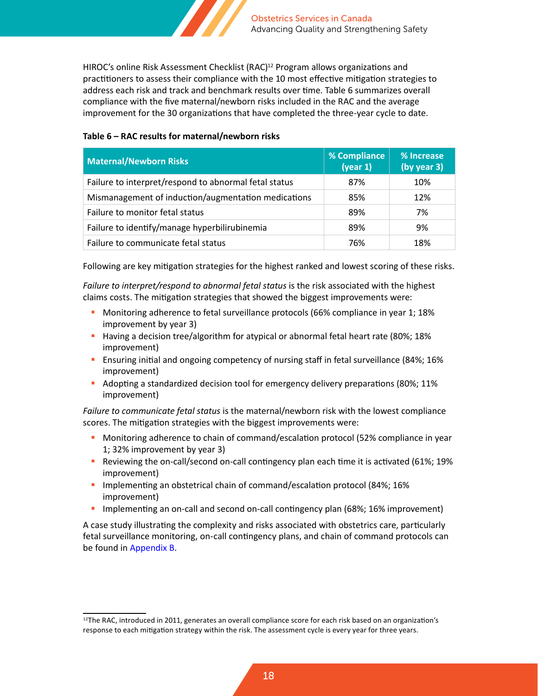

HIROC's online Risk Assessment Checklist (RAC)<sup>12</sup> Program allows organizations and practitioners to assess their compliance with the 10 most effective mitigation strategies to address each risk and track and benchmark results over time. Table 6 summarizes overall compliance with the five maternal/newborn risks included in the RAC and the average improvement for the 30 organizations that have completed the three-year cycle to date.

#### **Table 6 – RAC results for maternal/newborn risks**

| <b>Maternal/Newborn Risks</b>                         | % Compliance<br>(year 1) | % Increase<br>(by year 3) |
|-------------------------------------------------------|--------------------------|---------------------------|
| Failure to interpret/respond to abnormal fetal status | 87%                      | 10%                       |
| Mismanagement of induction/augmentation medications   | 85%                      | 12%                       |
| Failure to monitor fetal status                       | 89%                      | 7%                        |
| Failure to identify/manage hyperbilirubinemia         | 89%                      | 9%                        |
| Failure to communicate fetal status                   | 76%                      | 18%                       |

Following are key mitigation strategies for the highest ranked and lowest scoring of these risks.

Failure to interpret/respond to abnormal fetal status is the risk associated with the highest claims costs. The mitigation strategies that showed the biggest improvements were:

- Monitoring adherence to fetal surveillance protocols (66% compliance in year 1; 18% improvement by year 3)
- **Having a decision tree/algorithm for atypical or abnormal fetal heart rate (80%; 18%)** improvement)
- Ensuring initial and ongoing competency of nursing staff in fetal surveillance (84%; 16% improvement)
- Adopting a standardized decision tool for emergency delivery preparations (80%; 11% improvement)

*Failure to communicate fetal status* is the maternal/newborn risk with the lowest compliance scores. The mitigation strategies with the biggest improvements were:

- **Monitoring adherence to chain of command/escalation protocol (52% compliance in year** 1; 32% improvement by year 3)
- Reviewing the on-call/second on-call contingency plan each time it is activated (61%; 19% improvement)
- **Implementing an obstetrical chain of command/escalation protocol (84%; 16%)** improvement)
- Implementing an on-call and second on-call contingency plan (68%; 16% improvement)

A case study illustrating the complexity and risks associated with obstetrics care, particularly fetal surveillance monitoring, on-call contingency plans, and chain of command protocols can be found in [Appendix B.](#page-31-0)

<sup>&</sup>lt;sup>12</sup>The RAC, introduced in 2011, generates an overall compliance score for each risk based on an organization's response to each mitigation strategy within the risk. The assessment cycle is every year for three years.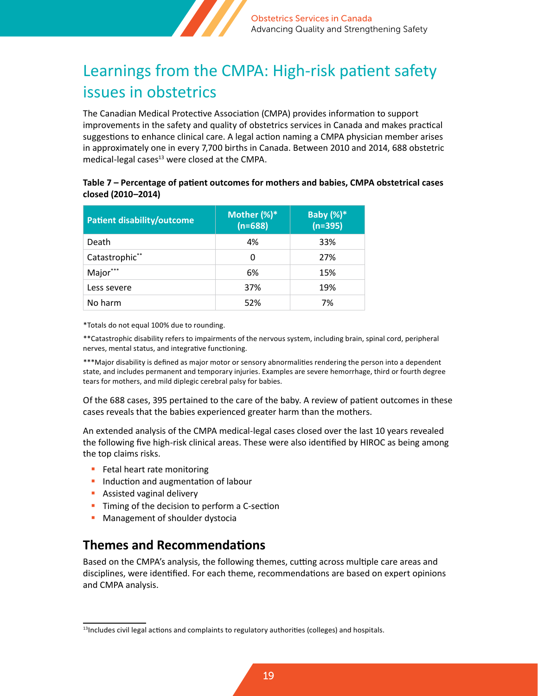

## <span id="page-18-0"></span>Learnings from the CMPA: High-risk patient safety issues in obstetrics

The Canadian Medical Protective Association (CMPA) provides information to support improvements in the safety and quality of obstetrics services in Canada and makes practical suggestions to enhance clinical care. A legal action naming a CMPA physician member arises in approximately one in every 7,700 births in Canada. Between 2010 and 2014, 688 obstetric medical-legal cases $13$  were closed at the CMPA.

#### **Table 7 – Percentage of patient outcomes for mothers and babies, CMPA obstetrical cases closed (2010–2014)**

| <b>Patient disability/outcome</b> | Mother $(\%)^*$<br>$(n=688)$ | <b>Baby (%)*</b><br>$(n=395)$ |
|-----------------------------------|------------------------------|-------------------------------|
| Death                             | 4%                           | 33%                           |
| Catastrophic**                    | 0                            | 27%                           |
| Major***                          | 6%                           | 15%                           |
| Less severe                       | 37%                          | 19%                           |
| No harm                           | 52%                          | 7%                            |

\*Totals do not equal 100% due to rounding.

\*\*Catastrophic disability refers to impairments of the nervous system, including brain, spinal cord, peripheral nerves, mental status, and integrative functioning.

\*\*\*Major disability is defined as major motor or sensory abnormalities rendering the person into a dependent state, and includes permanent and temporary injuries. Examples are severe hemorrhage, third or fourth degree tears for mothers, and mild diplegic cerebral palsy for babies.

Of the 688 cases, 395 pertained to the care of the baby. A review of patient outcomes in these cases reveals that the babies experienced greater harm than the mothers.

An extended analysis of the CMPA medical-legal cases closed over the last 10 years revealed the following five high-risk clinical areas. These were also identified by HIROC as being among the top claims risks.

- **Fetal heart rate monitoring**
- **Induction and augmentation of labour**
- **Assisted vaginal delivery**
- **Timing of the decision to perform a C-section**
- **Management of shoulder dystocia**

### **Themes and Recommendations**

Based on the CMPA's analysis, the following themes, cutting across multiple care areas and disciplines, were identified. For each theme, recommendations are based on expert opinions and CMPA analysis.

 $<sup>13</sup>$ Includes civil legal actions and complaints to regulatory authorities (colleges) and hospitals.</sup>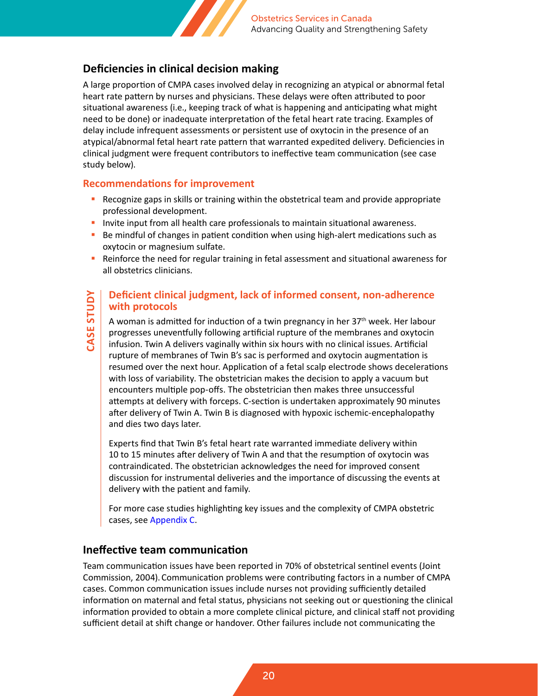

### **Deficiencies in clinical decision making**

A large proportion of CMPA cases involved delay in recognizing an atypical or abnormal fetal heart rate pattern by nurses and physicians. These delays were often attributed to poor situational awareness (i.e., keeping track of what is happening and anticipating what might need to be done) or inadequate interpretation of the fetal heart rate tracing. Examples of delay include infrequent assessments or persistent use of oxytocin in the presence of an atypical/abnormal fetal heart rate pattern that warranted expedited delivery. Deficiencies in clinical judgment were frequent contributors to ineffective team communication (see case study below).

#### **Recommendations for improvement**

- **P** Recognize gaps in skills or training within the obstetrical team and provide appropriate professional development.
- **Invite input from all health care professionals to maintain situational awareness.**
- **Be mindful of changes in patient condition when using high-alert medications such as** oxytocin or magnesium sulfate.
- **Reinforce the need for regular training in fetal assessment and situational awareness for** all obstetrics clinicians.

#### **Deficient clinical judgment, lack of informed consent, non-adherence with protocols**

A woman is admitted for induction of a twin pregnancy in her 37th week. Her labour progresses uneventfully following artificial rupture of the membranes and oxytocin infusion. Twin A delivers vaginally within six hours with no clinical issues. Artificial rupture of membranes of Twin B's sac is performed and oxytocin augmentation is resumed over the next hour. Application of a fetal scalp electrode shows decelerations with loss of variability. The obstetrician makes the decision to apply a vacuum but encounters multiple pop-offs. The obstetrician then makes three unsuccessful attempts at delivery with forceps. C-section is undertaken approximately 90 minutes after delivery of Twin A. Twin B is diagnosed with hypoxic ischemic-encephalopathy and dies two days later.

Experts find that Twin B's fetal heart rate warranted immediate delivery within 10 to 15 minutes after delivery of Twin A and that the resumption of oxytocin was contraindicated. The obstetrician acknowledges the need for improved consent discussion for instrumental deliveries and the importance of discussing the events at delivery with the patient and family.

For more case studies highlighting key issues and the complexity of CMPA obstetric cases, see [Appendix C.](#page-33-0)

### **Ineffective team communication**

Team communication issues have been reported in 70% of obstetrical sentinel events (Joint Commission, 2004).Communication problems were contributing factors in a number of CMPA cases. Common communication issues include nurses not providing sufficiently detailed information on maternal and fetal status, physicians not seeking out or questioning the clinical information provided to obtain a more complete clinical picture, and clinical staff not providing sufficient detail at shift change or handover. Other failures include not communicating the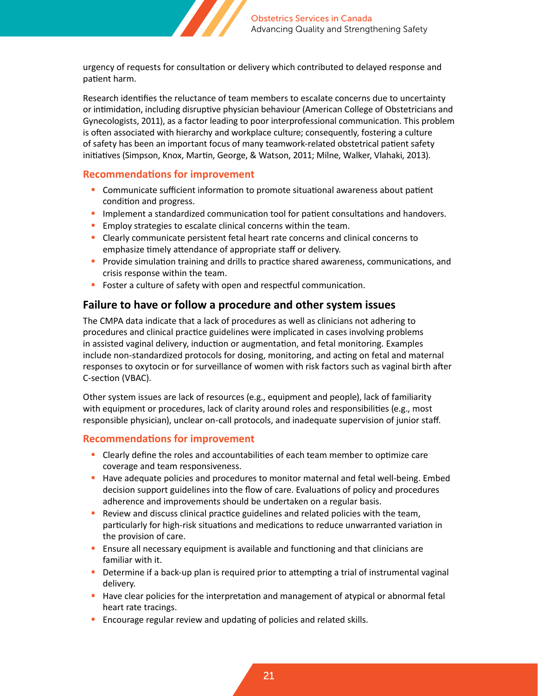

urgency of requests for consultation or delivery which contributed to delayed response and patient harm.

Research identifies the reluctance of team members to escalate concerns due to uncertainty or intimidation, including disruptive physician behaviour (American College of Obstetricians and Gynecologists, 2011), as a factor leading to poor interprofessional communication. This problem is often associated with hierarchy and workplace culture; consequently, fostering a culture of safety has been an important focus of many teamwork-related obstetrical patient safety initiatives (Simpson, Knox, Martin, George, & Watson, 2011; Milne, Walker, Vlahaki, 2013).

#### **Recommendations for improvement**

- Communicate sufficient information to promote situational awareness about patient condition and progress.
- **Implement a standardized communication tool for patient consultations and handovers.**
- **Employ strategies to escalate clinical concerns within the team.**
- Clearly communicate persistent fetal heart rate concerns and clinical concerns to emphasize timely attendance of appropriate staff or delivery.
- **Provide simulation training and drills to practice shared awareness, communications, and** crisis response within the team.
- **Foster a culture of safety with open and respectful communication.**

#### **Failure to have or follow a procedure and other system issues**

The CMPA data indicate that a lack of procedures as well as clinicians not adhering to procedures and clinical practice guidelines were implicated in cases involving problems in assisted vaginal delivery, induction or augmentation, and fetal monitoring. Examples include non-standardized protocols for dosing, monitoring, and acting on fetal and maternal responses to oxytocin or for surveillance of women with risk factors such as vaginal birth after C-section (VBAC).

Other system issues are lack of resources (e.g., equipment and people), lack of familiarity with equipment or procedures, lack of clarity around roles and responsibilities (e.g., most responsible physician), unclear on-call protocols, and inadequate supervision of junior staff.

#### **Recommendations for improvement**

- Clearly define the roles and accountabilities of each team member to optimize care coverage and team responsiveness.
- Have adequate policies and procedures to monitor maternal and fetal well-being. Embed decision support guidelines into the flow of care. Evaluations of policy and procedures adherence and improvements should be undertaken on a regular basis.
- Review and discuss clinical practice guidelines and related policies with the team, particularly for high-risk situations and medications to reduce unwarranted variation in the provision of care.
- **Ensure all necessary equipment is available and functioning and that clinicians are** familiar with it.
- **Determine if a back-up plan is required prior to attempting a trial of instrumental vaginal** delivery.
- **H** Have clear policies for the interpretation and management of atypical or abnormal fetal heart rate tracings.
- **Encourage regular review and updating of policies and related skills.**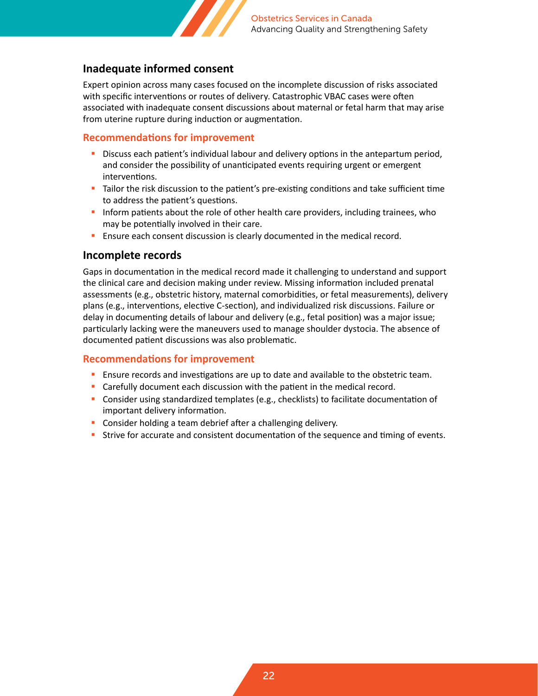

#### **Inadequate informed consent**

Expert opinion across many cases focused on the incomplete discussion of risks associated with specific interventions or routes of delivery. Catastrophic VBAC cases were often associated with inadequate consent discussions about maternal or fetal harm that may arise from uterine rupture during induction or augmentation.

#### **Recommendations for improvement**

- Discuss each patient's individual labour and delivery options in the antepartum period, and consider the possibility of unanticipated events requiring urgent or emergent interventions.
- Tailor the risk discussion to the patient's pre-existing conditions and take sufficient time to address the patient's questions.
- Inform patients about the role of other health care providers, including trainees, who may be potentially involved in their care.
- **Ensure each consent discussion is clearly documented in the medical record.**

#### **Incomplete records**

Gaps in documentation in the medical record made it challenging to understand and support the clinical care and decision making under review. Missing information included prenatal assessments (e.g., obstetric history, maternal comorbidities, or fetal measurements), delivery plans (e.g., interventions, elective C-section), and individualized risk discussions. Failure or delay in documenting details of labour and delivery (e.g., fetal position) was a major issue; particularly lacking were the maneuvers used to manage shoulder dystocia. The absence of documented patient discussions was also problematic.

#### **Recommendations for improvement**

- **Ensure records and investigations are up to date and available to the obstetric team.**
- **Carefully document each discussion with the patient in the medical record.**
- Consider using standardized templates (e.g., checklists) to facilitate documentation of important delivery information.
- **Consider holding a team debrief after a challenging delivery.**
- Strive for accurate and consistent documentation of the sequence and timing of events.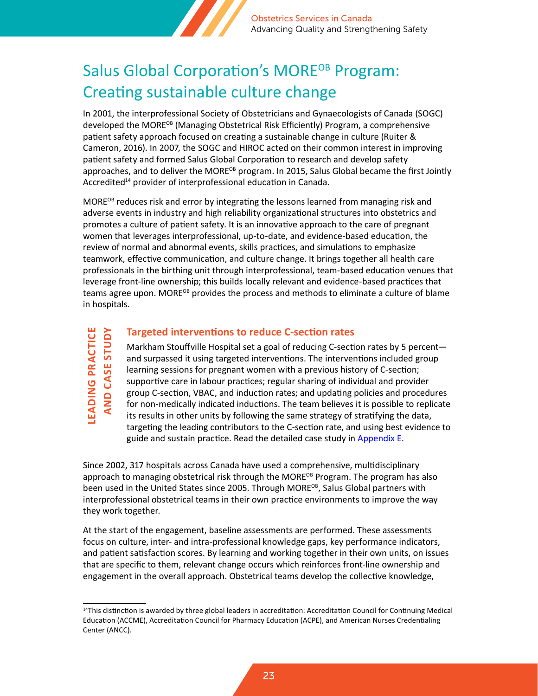

## <span id="page-22-0"></span>Salus Global Corporation's MORE<sup>OB</sup> Program: Creating sustainable culture change

In 2001, the interprofessional Society of Obstetricians and Gynaecologists of Canada (SOGC) developed the MORE<sup>OB</sup> (Managing Obstetrical Risk Efficiently) Program, a comprehensive patient safety approach focused on creating a sustainable change in culture (Ruiter & Cameron, 2016). In 2007, the SOGC and HIROC acted on their common interest in improving patient safety and formed Salus Global Corporation to research and develop safety approaches, and to deliver the MORE<sup>OB</sup> program. In 2015, Salus Global became the first Jointly Accredited<sup>14</sup> provider of interprofessional education in Canada.

 $MORE^{OB}$  reduces risk and error by integrating the lessons learned from managing risk and adverse events in industry and high reliability organizational structures into obstetrics and promotes a culture of patient safety. It is an innovative approach to the care of pregnant women that leverages interprofessional, up-to-date, and evidence-based education, the review of normal and abnormal events, skills practices, and simulations to emphasize teamwork, effective communication, and culture change. It brings together all health care professionals in the birthing unit through interprofessional, team-based education venues that leverage front-line ownership; this builds locally relevant and evidence-based practices that teams agree upon. MORE<sup>OB</sup> provides the process and methods to eliminate a culture of blame in hospitals.

**LEADING PRACTICE AND CASE STUDY**

#### **Targeted interventions to reduce C-section rates**

Markham Stouffville Hospital set a goal of reducing C-section rates by 5 percent and surpassed it using targeted interventions. The interventions included group learning sessions for pregnant women with a previous history of C-section; supportive care in labour practices; regular sharing of individual and provider group C-section, VBAC, and induction rates; and updating policies and procedures for non-medically indicated inductions. The team believes it is possible to replicate its results in other units by following the same strategy of stratifying the data, targeting the leading contributors to the C-section rate, and using best evidence to guide and sustain practice. Read the detailed case study in [Appendix E](#page-35-0).

Since 2002, 317 hospitals across Canada have used a comprehensive, multidisciplinary approach to managing obstetrical risk through the MOR $E^{OB}$  Program. The program has also been used in the United States since 2005. Through MORE<sup>OB</sup>, Salus Global partners with interprofessional obstetrical teams in their own practice environments to improve the way they work together.

At the start of the engagement, baseline assessments are performed. These assessments focus on culture, inter- and intra-professional knowledge gaps, key performance indicators, and patient satisfaction scores. By learning and working together in their own units, on issues that are specific to them, relevant change occurs which reinforces front-line ownership and engagement in the overall approach. Obstetrical teams develop the collective knowledge,

<sup>&</sup>lt;sup>14</sup>This distinction is awarded by three global leaders in accreditation: Accreditation Council for Continuing Medical Education (ACCME), Accreditation Council for Pharmacy Education (ACPE), and American Nurses Credentialing Center (ANCC).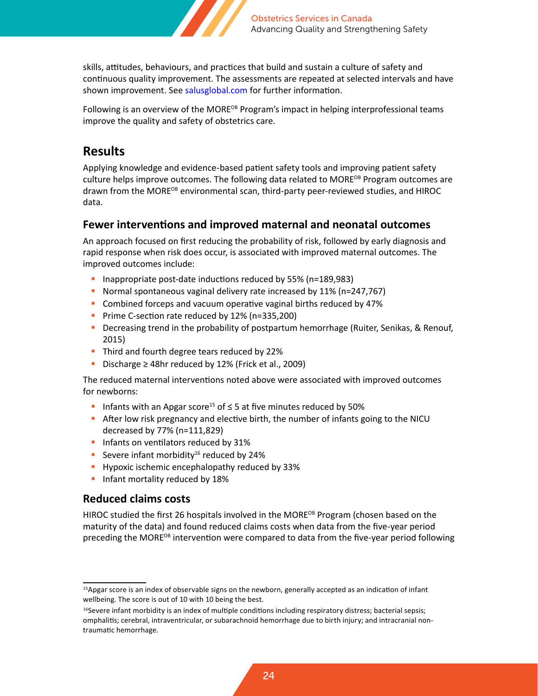

skills, attitudes, behaviours, and practices that build and sustain a culture of safety and continuous quality improvement. The assessments are repeated at selected intervals and have shown improvement. See [salusglobal.com](http://www.salusglobal.com) for further information.

Following is an overview of the MORE<sup>OB</sup> Program's impact in helping interprofessional teams improve the quality and safety of obstetrics care.

### **Results**

Applying knowledge and evidence-based patient safety tools and improving patient safety culture helps improve outcomes. The following data related to MORE<sup>OB</sup> Program outcomes are drawn from the MORE<sup>OB</sup> environmental scan, third-party peer-reviewed studies, and HIROC data.

#### **Fewer interventions and improved maternal and neonatal outcomes**

An approach focused on first reducing the probability of risk, followed by early diagnosis and rapid response when risk does occur, is associated with improved maternal outcomes. The improved outcomes include:

- Inappropriate post-date inductions reduced by 55% (n=189,983)
- Normal spontaneous vaginal delivery rate increased by 11% (n=247,767)
- **Combined forceps and vacuum operative vaginal births reduced by 47%**
- Prime C-section rate reduced by 12% (n=335,200)
- **Decreasing trend in the probability of postpartum hemorrhage (Ruiter, Senikas, & Renouf,** 2015)
- Third and fourth degree tears reduced by 22%
- Discharge  $\geq 48$ hr reduced by 12% (Frick et al., 2009)

The reduced maternal interventions noted above were associated with improved outcomes for newborns:

- Infants with an Apgar score<sup>15</sup> of  $\leq$  5 at five minutes reduced by 50%
- After low risk pregnancy and elective birth, the number of infants going to the NICU decreased by 77% (n=111,829)
- **Infants on ventilators reduced by 31%**
- Severe infant morbidity<sup>16</sup> reduced by 24%
- Hypoxic ischemic encephalopathy reduced by 33%
- **Infant mortality reduced by 18%**

#### **Reduced claims costs**

HIROC studied the first 26 hospitals involved in the MORE<sup>OB</sup> Program (chosen based on the maturity of the data) and found reduced claims costs when data from the five-year period preceding the MORE<sup>OB</sup> intervention were compared to data from the five-year period following

<sup>&</sup>lt;sup>15</sup>Apgar score is an index of observable signs on the newborn, generally accepted as an indication of infant wellbeing. The score is out of 10 with 10 being the best.

 $16$ Severe infant morbidity is an index of multiple conditions including respiratory distress; bacterial sepsis; omphalitis; cerebral, intraventricular, or subarachnoid hemorrhage due to birth injury; and intracranial nontraumatic hemorrhage.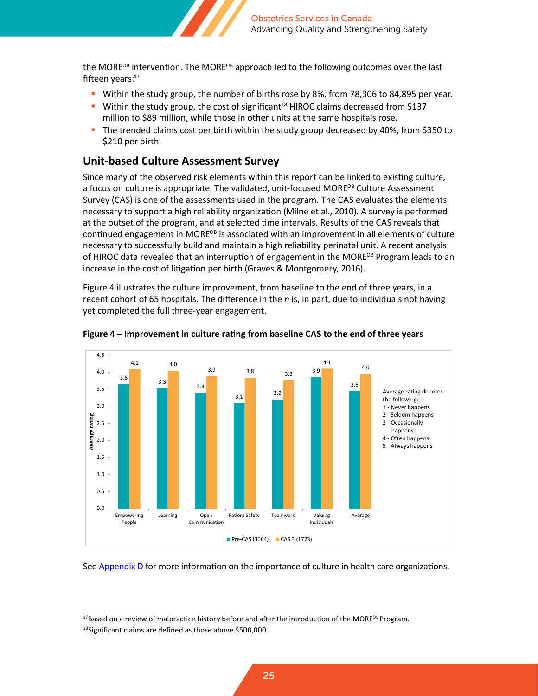

the MORE<sup>OB</sup> intervention. The MORE<sup>OB</sup> approach led to the following outcomes over the last fifteen vears:<sup>17</sup>

- Within the study group, the number of births rose by 8%, from 78,306 to 84,895 per year.
- Within the study group, the cost of significant<sup>18</sup> HIROC claims decreased from \$137 million to \$89 million, while those in other units at the same hospitals rose.
- The trended claims cost per birth within the study group decreased by 40%, from \$350 to \$210 per birth.

#### **Unit-based Culture Assessment Survey**

Since many of the observed risk elements within this report can be linked to existing culture, a focus on culture is appropriate. The validated, unit-focused MORE<sup>OB</sup> Culture Assessment Survey (CAS) is one of the assessments used in the program. The CAS evaluates the elements necessary to support a high reliability organization (Milne et al., 2010). A survey is performed at the outset of the program, and at selected time intervals. Results of the CAS reveals that continued engagement in MORE<sup>OB</sup> is associated with an improvement in all elements of culture necessary to successfully build and maintain a high reliability perinatal unit. A recent analysis of HIROC data revealed that an interruption of engagement in the MORE<sup>OB</sup> Program leads to an increase in the cost of litigation per birth (Graves & Montgomery, 2016).

Figure 4 illustrates the culture improvement, from baseline to the end of three years, in a recent cohort of 65 hospitals. The difference in the *n* is, in part, due to individuals not having yet completed the full three-year engagement.





#### See [Appendix D](#page-34-0) for more information on the importance of culture in health care organizations.

<sup>&</sup>lt;sup>17</sup>Based on a review of malpractice history before and after the introduction of the MORE<sup>OB</sup> Program.

<sup>18</sup>Significant claims are defined as those above \$500,000.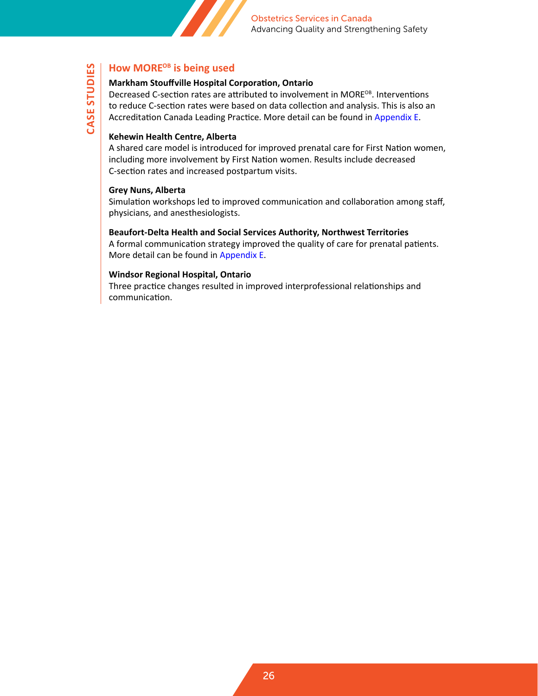

### **How MORE<sup>OB</sup>** is being used

#### **Markham Stouffville Hospital Corporation, Ontario**

Decreased C-section rates are attributed to involvement in MORE<sup>OB</sup>. Interventions to reduce C-section rates were based on data collection and analysis. This is also an Accreditation Canada Leading Practice. More detail can be found in [Appendix E](#page-35-0).

#### **Kehewin Health Centre, Alberta**

A shared care model is introduced for improved prenatal care for First Nation women, including more involvement by First Nation women. Results include decreased C-section rates and increased postpartum visits.

#### **Grey Nuns, Alberta**

**CASE STUDIES**

CASE STUDIES

Simulation workshops led to improved communication and collaboration among staff, physicians, and anesthesiologists.

#### **Beaufort-Delta Health and Social Services Authority, Northwest Territories**

A formal communication strategy improved the quality of care for prenatal patients. More detail can be found in [Appendix E](#page-35-0).

#### **Windsor Regional Hospital, Ontario**

Three practice changes resulted in improved interprofessional relationships and communication.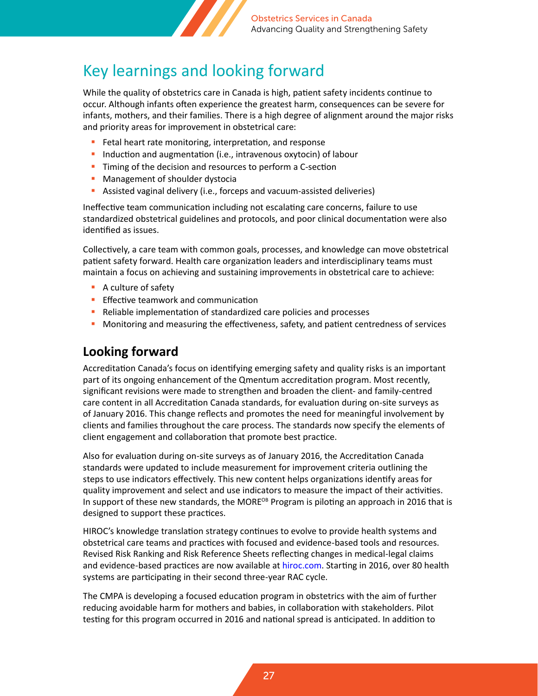

## <span id="page-26-0"></span>Key learnings and looking forward

While the quality of obstetrics care in Canada is high, patient safety incidents continue to occur. Although infants often experience the greatest harm, consequences can be severe for infants, mothers, and their families. There is a high degree of alignment around the major risks and priority areas for improvement in obstetrical care:

- **Fetal heart rate monitoring, interpretation, and response**
- **Induction and augmentation (i.e., intravenous oxytocin) of labour**
- **Timing of the decision and resources to perform a C-section**
- **Management of shoulder dystocial**
- Assisted vaginal delivery (i.e., forceps and vacuum-assisted deliveries)

Ineffective team communication including not escalating care concerns, failure to use standardized obstetrical guidelines and protocols, and poor clinical documentation were also identified as issues.

Collectively, a care team with common goals, processes, and knowledge can move obstetrical patient safety forward. Health care organization leaders and interdisciplinary teams must maintain a focus on achieving and sustaining improvements in obstetrical care to achieve:

- A culture of safety
- **Effective teamwork and communication**
- Reliable implementation of standardized care policies and processes
- **Monitoring and measuring the effectiveness, safety, and patient centredness of services**

### **Looking forward**

Accreditation Canada's focus on identifying emerging safety and quality risks is an important part of its ongoing enhancement of the Qmentum accreditation program. Most recently, significant revisions were made to strengthen and broaden the client- and family-centred care content in all Accreditation Canada standards, for evaluation during on-site surveys as of January 2016. This change reflects and promotes the need for meaningful involvement by clients and families throughout the care process. The standards now specify the elements of client engagement and collaboration that promote best practice.

Also for evaluation during on-site surveys as of January 2016, the Accreditation Canada standards were updated to include measurement for improvement criteria outlining the steps to use indicators effectively. This new content helps organizations identify areas for quality improvement and select and use indicators to measure the impact of their activities. In support of these new standards, the MORE<sup>OB</sup> Program is piloting an approach in 2016 that is designed to support these practices.

HIROC's knowledge translation strategy continues to evolve to provide health systems and obstetrical care teams and practices with focused and evidence-based tools and resources. Revised Risk Ranking and Risk Reference Sheets reflecting changes in medical-legal claims and evidence-based practices are now available at [hiroc.com](http://www.hiroc.com). Starting in 2016, over 80 health systems are participating in their second three-year RAC cycle.

The CMPA is developing a focused education program in obstetrics with the aim of further reducing avoidable harm for mothers and babies, in collaboration with stakeholders. Pilot testing for this program occurred in 2016 and national spread is anticipated. In addition to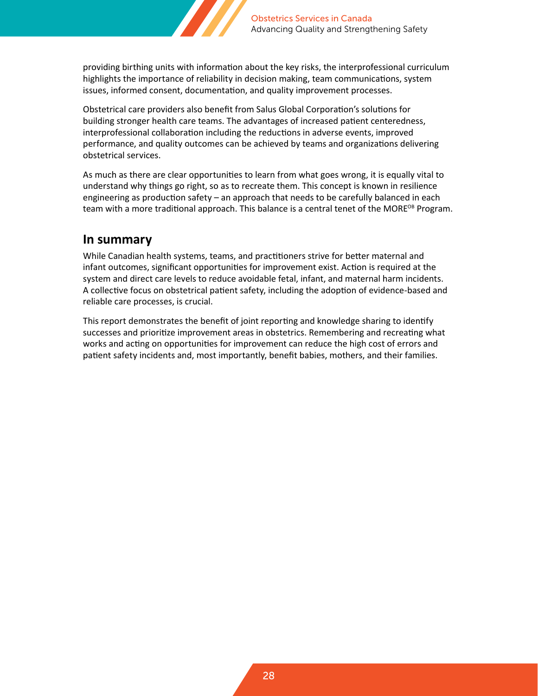

providing birthing units with information about the key risks, the interprofessional curriculum highlights the importance of reliability in decision making, team communications, system issues, informed consent, documentation, and quality improvement processes.

Obstetrical care providers also benefit from Salus Global Corporation's solutions for building stronger health care teams. The advantages of increased patient centeredness, interprofessional collaboration including the reductions in adverse events, improved performance, and quality outcomes can be achieved by teams and organizations delivering obstetrical services.

As much as there are clear opportunities to learn from what goes wrong, it is equally vital to understand why things go right, so as to recreate them. This concept is known in resilience engineering as production safety – an approach that needs to be carefully balanced in each team with a more traditional approach. This balance is a central tenet of the MORE<sup>OB</sup> Program.

### **In summary**

While Canadian health systems, teams, and practitioners strive for better maternal and infant outcomes, significant opportunities for improvement exist. Action is required at the system and direct care levels to reduce avoidable fetal, infant, and maternal harm incidents. A collective focus on obstetrical patient safety, including the adoption of evidence-based and reliable care processes, is crucial.

This report demonstrates the benefit of joint reporting and knowledge sharing to identify successes and prioritize improvement areas in obstetrics. Remembering and recreating what works and acting on opportunities for improvement can reduce the high cost of errors and patient safety incidents and, most importantly, benefit babies, mothers, and their families.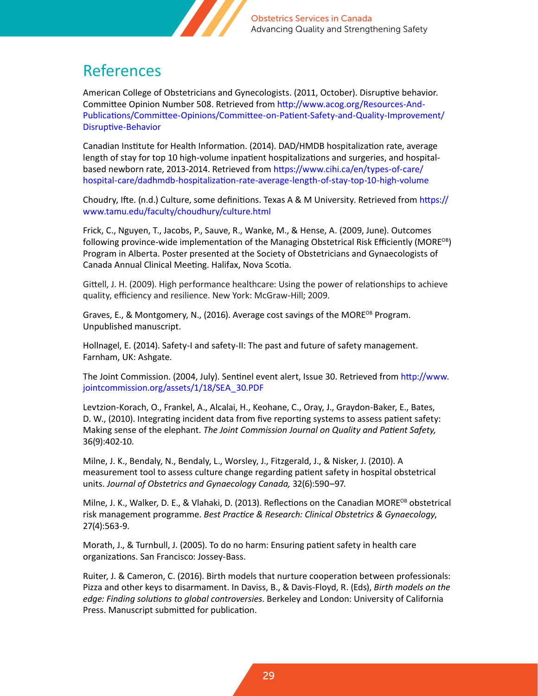

## <span id="page-28-0"></span>References

American College of Obstetricians and Gynecologists. (2011, October). Disruptive behavior. Committee Opinion Number 508. Retrieved from [http://www.acog.org/Resources-And-](http://www.acog.org/Resources-And-Publications/Committee-Opinions/Committee-on-Patient-Safety-and-Quality-Improvement/Disruptive-Behavior)[Publications/Committee-Opinions/Committee-on-Patient-Safety-and-Quality-Improvement/](http://www.acog.org/Resources-And-Publications/Committee-Opinions/Committee-on-Patient-Safety-and-Quality-Improvement/Disruptive-Behavior) [Disruptive-Behavior](http://www.acog.org/Resources-And-Publications/Committee-Opinions/Committee-on-Patient-Safety-and-Quality-Improvement/Disruptive-Behavior)

Canadian Institute for Health Information. (2014). DAD/HMDB hospitalization rate, average length of stay for top 10 high-volume inpatient hospitalizations and surgeries, and hospitalbased newborn rate, 2013-2014. Retrieved from [https://www.cihi.ca/en/types-of-care/](https://www.cihi.ca/en/types-of-care/hospital-care/dadhmdb-hospitalization-rate-average-length-of-stay-top-10-high-volume) [hospital-care/dadhmdb-hospitalization-rate-average-length-of-stay-top-10-high-volume](https://www.cihi.ca/en/types-of-care/hospital-care/dadhmdb-hospitalization-rate-average-length-of-stay-top-10-high-volume)

Choudry, Ifte. (n.d.) Culture, some definitions. Texas A & M University. Retrieved from [https://](https://www.tamu.edu/faculty/choudhury/culture.html) [www.tamu.edu/faculty/choudhury/culture.html](https://www.tamu.edu/faculty/choudhury/culture.html)

Frick, C., Nguyen, T., Jacobs, P., Sauve, R., Wanke, M., & Hense, A. (2009, June). Outcomes following province-wide implementation of the Managing Obstetrical Risk Efficiently (MORE<sup>OB</sup>) Program in Alberta. Poster presented at the Society of Obstetricians and Gynaecologists of Canada Annual Clinical Meeting. Halifax, Nova Scotia.

Gittell, J. H. (2009). High performance healthcare: Using the power of relationships to achieve quality, efficiency and resilience. New York: McGraw-Hill; 2009.

Graves, E., & Montgomery, N., (2016). Average cost savings of the MORE<sup>OB</sup> Program. Unpublished manuscript.

Hollnagel, E. (2014). Safety-I and safety-II: The past and future of safety management. Farnham, UK: Ashgate.

The Joint Commission. (2004, July). Sentinel event alert, Issue 30. Retrieved from [http://www.](http://www.jointcommission.org/assets/1/18/SEA_30.PDF) [jointcommission.org/assets/1/18/SEA\\_30.PDF](http://www.jointcommission.org/assets/1/18/SEA_30.PDF)

Levtzion-Korach, O., Frankel, A., Alcalai, H., Keohane, C., Oray, J., Graydon-Baker, E., Bates, D. W., (2010). Integrating incident data from five reporting systems to assess patient safety: Making sense of the elephant. *The Joint Commission Journal on Quality and Patient Safety,*  36(9):402-10.

Milne, J. K., Bendaly, N., Bendaly, L., Worsley, J., Fitzgerald, J., & Nisker, J. (2010). A measurement tool to assess culture change regarding patient safety in hospital obstetrical units. *Journal of Obstetrics and Gynaecology Canada,* 32(6):590–97.

Milne, J. K., Walker, D. E., & Vlahaki, D. (2013). Reflections on the Canadian MORE<sup>OB</sup> obstetrical risk management programme. *Best Practice & Research: Clinical Obstetrics & Gynaecology*, 27(4):563-9.

Morath, J., & Turnbull, J. (2005). To do no harm: Ensuring patient safety in health care organizations. San Francisco: Jossey-Bass.

Ruiter, J. & Cameron, C. (2016). Birth models that nurture cooperation between professionals: Pizza and other keys to disarmament. In Daviss, B., & Davis-Floyd, R. (Eds), *Birth models on the edge: Finding solutions to global controversies*. Berkeley and London: University of California Press. Manuscript submitted for publication.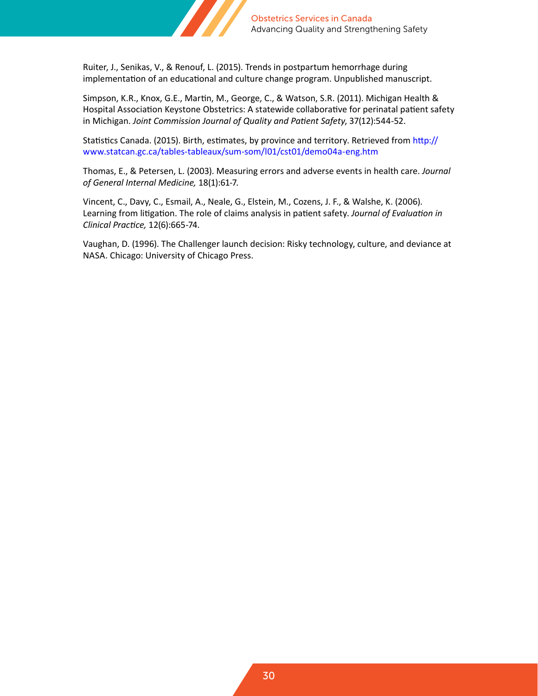

Ruiter, J., Senikas, V., & Renouf, L. (2015). Trends in postpartum hemorrhage during implementation of an educational and culture change program. Unpublished manuscript.

Simpson, K.R., Knox, G.E., Martin, M., George, C., & Watson, S.R. (2011). Michigan Health & Hospital Association Keystone Obstetrics: A statewide collaborative for perinatal patient safety in Michigan. *Joint Commission Journal of Quality and Patient Safety*, 37(12):544-52.

Statistics Canada. (2015). Birth, estimates, by province and territory. Retrieved from [http://](http://www.statcan.gc.ca/tables-tableaux/sum-som/l01/cst01/demo04a-eng.htm) [www.statcan.gc.ca/tables-tableaux/sum-som/l01/cst01/demo04a-eng.htm](http://www.statcan.gc.ca/tables-tableaux/sum-som/l01/cst01/demo04a-eng.htm)

Thomas, E., & Petersen, L. (2003). Measuring errors and adverse events in health care. *Journal of General Internal Medicine,* 18(1):61-7.

Vincent, C., Davy, C., Esmail, A., Neale, G., Elstein, M., Cozens, J. F., & Walshe, K. (2006). Learning from litigation. The role of claims analysis in patient safety. *Journal of Evaluation in Clinical Practice,* 12(6):665-74.

Vaughan, D. (1996). The Challenger launch decision: Risky technology, culture, and deviance at NASA. Chicago: University of Chicago Press.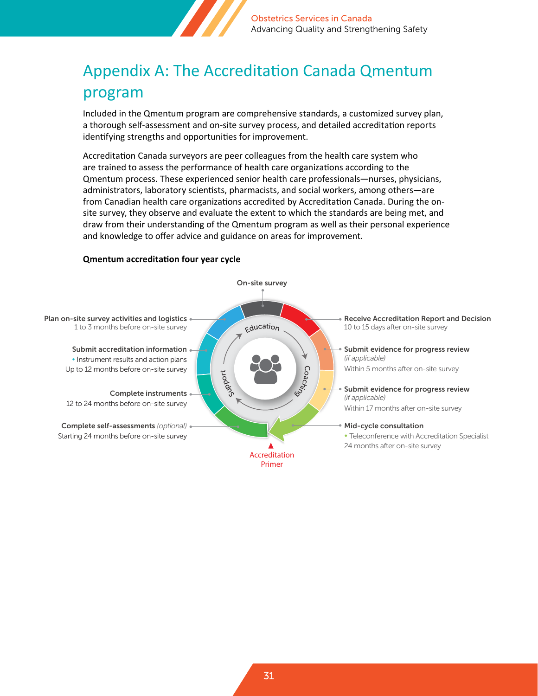

## <span id="page-30-0"></span>Appendix A: The Accreditation Canada Qmentum program

Included in the Qmentum program are comprehensive standards, a customized survey plan, a thorough self-assessment and on-site survey process, and detailed accreditation reports identifying strengths and opportunities for improvement.

Accreditation Canada surveyors are peer colleagues from the health care system who are trained to assess the performance of health care organizations according to the Qmentum process. These experienced senior health care professionals—nurses, physicians, administrators, laboratory scientists, pharmacists, and social workers, among others—are from Canadian health care organizations accredited by Accreditation Canada. During the onsite survey, they observe and evaluate the extent to which the standards are being met, and draw from their understanding of the Qmentum program as well as their personal experience and knowledge to offer advice and guidance on areas for improvement. Four-year cycle and year cycle and the complete state of the complete state of the complete state of the complete state of the complete state of the complete state of the complete state of the complete state of the complet

#### **Qmentum accreditation four year cycle**

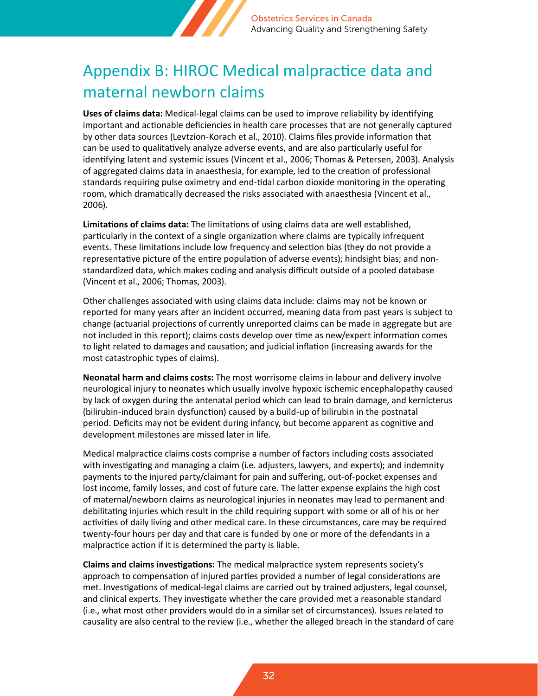

## <span id="page-31-0"></span>Appendix B: HIROC Medical malpractice data and maternal newborn claims

**Uses of claims data:** Medical-legal claims can be used to improve reliability by identifying important and actionable deficiencies in health care processes that are not generally captured by other data sources (Levtzion-Korach et al., 2010). Claims files provide information that can be used to qualitatively analyze adverse events, and are also particularly useful for identifying latent and systemic issues (Vincent et al., 2006; Thomas & Petersen, 2003). Analysis of aggregated claims data in anaesthesia, for example, led to the creation of professional standards requiring pulse oximetry and end-tidal carbon dioxide monitoring in the operating room, which dramatically decreased the risks associated with anaesthesia (Vincent et al., 2006).

**Limitations of claims data:** The limitations of using claims data are well established, particularly in the context of a single organization where claims are typically infrequent events. These limitations include low frequency and selection bias (they do not provide a representative picture of the entire population of adverse events); hindsight bias; and nonstandardized data, which makes coding and analysis difficult outside of a pooled database (Vincent et al., 2006; Thomas, 2003).

Other challenges associated with using claims data include: claims may not be known or reported for many years after an incident occurred, meaning data from past years is subject to change (actuarial projections of currently unreported claims can be made in aggregate but are not included in this report); claims costs develop over time as new/expert information comes to light related to damages and causation; and judicial inflation (increasing awards for the most catastrophic types of claims).

**Neonatal harm and claims costs:** The most worrisome claims in labour and delivery involve neurological injury to neonates which usually involve hypoxic ischemic encephalopathy caused by lack of oxygen during the antenatal period which can lead to brain damage, and kernicterus (bilirubin-induced brain dysfunction) caused by a build-up of bilirubin in the postnatal period. Deficits may not be evident during infancy, but become apparent as cognitive and development milestones are missed later in life.

Medical malpractice claims costs comprise a number of factors including costs associated with investigating and managing a claim (i.e. adjusters, lawyers, and experts); and indemnity payments to the injured party/claimant for pain and suffering, out-of-pocket expenses and lost income, family losses, and cost of future care. The latter expense explains the high cost of maternal/newborn claims as neurological injuries in neonates may lead to permanent and debilitating injuries which result in the child requiring support with some or all of his or her activities of daily living and other medical care. In these circumstances, care may be required twenty-four hours per day and that care is funded by one or more of the defendants in a malpractice action if it is determined the party is liable.

**Claims and claims investigations:** The medical malpractice system represents society's approach to compensation of injured parties provided a number of legal considerations are met. Investigations of medical-legal claims are carried out by trained adjusters, legal counsel, and clinical experts. They investigate whether the care provided met a reasonable standard (i.e., what most other providers would do in a similar set of circumstances). Issues related to causality are also central to the review (i.e., whether the alleged breach in the standard of care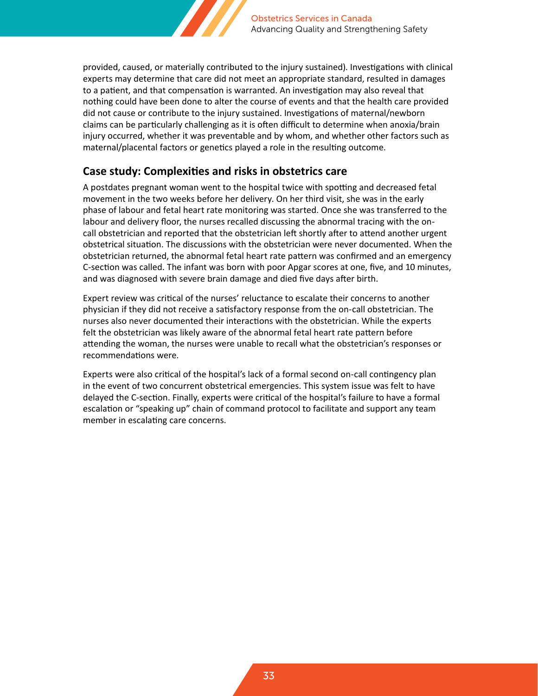

provided, caused, or materially contributed to the injury sustained). Investigations with clinical experts may determine that care did not meet an appropriate standard, resulted in damages to a patient, and that compensation is warranted. An investigation may also reveal that nothing could have been done to alter the course of events and that the health care provided did not cause or contribute to the injury sustained. Investigations of maternal/newborn claims can be particularly challenging as it is often difficult to determine when anoxia/brain injury occurred, whether it was preventable and by whom, and whether other factors such as maternal/placental factors or genetics played a role in the resulting outcome.

#### **Case study: Complexities and risks in obstetrics care**

A postdates pregnant woman went to the hospital twice with spotting and decreased fetal movement in the two weeks before her delivery. On her third visit, she was in the early phase of labour and fetal heart rate monitoring was started. Once she was transferred to the labour and delivery floor, the nurses recalled discussing the abnormal tracing with the oncall obstetrician and reported that the obstetrician left shortly after to attend another urgent obstetrical situation. The discussions with the obstetrician were never documented. When the obstetrician returned, the abnormal fetal heart rate pattern was confirmed and an emergency C-section was called. The infant was born with poor Apgar scores at one, five, and 10 minutes, and was diagnosed with severe brain damage and died five days after birth.

Expert review was critical of the nurses' reluctance to escalate their concerns to another physician if they did not receive a satisfactory response from the on-call obstetrician. The nurses also never documented their interactions with the obstetrician. While the experts felt the obstetrician was likely aware of the abnormal fetal heart rate pattern before attending the woman, the nurses were unable to recall what the obstetrician's responses or recommendations were.

Experts were also critical of the hospital's lack of a formal second on-call contingency plan in the event of two concurrent obstetrical emergencies. This system issue was felt to have delayed the C-section. Finally, experts were critical of the hospital's failure to have a formal escalation or "speaking up" chain of command protocol to facilitate and support any team member in escalating care concerns.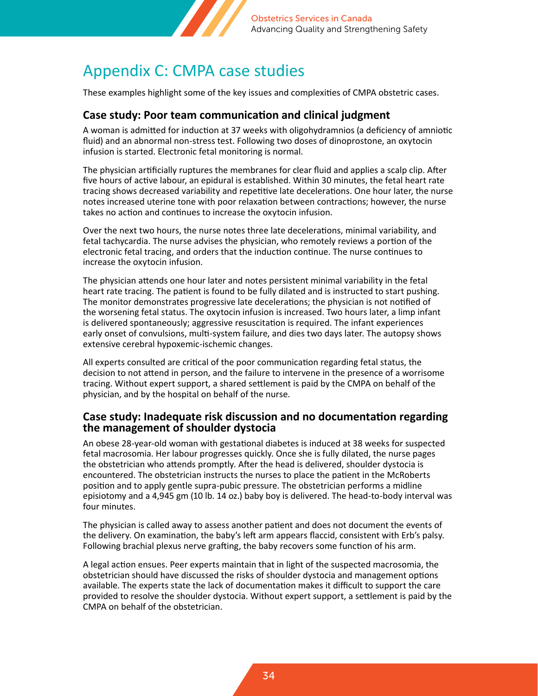

## <span id="page-33-0"></span>Appendix C: CMPA case studies

These examples highlight some of the key issues and complexities of CMPA obstetric cases.

#### **Case study: Poor team communication and clinical judgment**

A woman is admitted for induction at 37 weeks with oligohydramnios (a deficiency of amniotic fluid) and an abnormal non-stress test. Following two doses of dinoprostone, an oxytocin infusion is started. Electronic fetal monitoring is normal.

The physician artificially ruptures the membranes for clear fluid and applies a scalp clip. After five hours of active labour, an epidural is established. Within 30 minutes, the fetal heart rate tracing shows decreased variability and repetitive late decelerations. One hour later, the nurse notes increased uterine tone with poor relaxation between contractions; however, the nurse takes no action and continues to increase the oxytocin infusion.

Over the next two hours, the nurse notes three late decelerations, minimal variability, and fetal tachycardia. The nurse advises the physician, who remotely reviews a portion of the electronic fetal tracing, and orders that the induction continue. The nurse continues to increase the oxytocin infusion.

The physician attends one hour later and notes persistent minimal variability in the fetal heart rate tracing. The patient is found to be fully dilated and is instructed to start pushing. The monitor demonstrates progressive late decelerations; the physician is not notified of the worsening fetal status. The oxytocin infusion is increased. Two hours later, a limp infant is delivered spontaneously; aggressive resuscitation is required. The infant experiences early onset of convulsions, multi-system failure, and dies two days later. The autopsy shows extensive cerebral hypoxemic-ischemic changes.

All experts consulted are critical of the poor communication regarding fetal status, the decision to not attend in person, and the failure to intervene in the presence of a worrisome tracing. Without expert support, a shared settlement is paid by the CMPA on behalf of the physician, and by the hospital on behalf of the nurse.

#### **Case study: Inadequate risk discussion and no documentation regarding the management of shoulder dystocia**

An obese 28-year-old woman with gestational diabetes is induced at 38 weeks for suspected fetal macrosomia. Her labour progresses quickly. Once she is fully dilated, the nurse pages the obstetrician who attends promptly. After the head is delivered, shoulder dystocia is encountered. The obstetrician instructs the nurses to place the patient in the McRoberts position and to apply gentle supra-pubic pressure. The obstetrician performs a midline episiotomy and a 4,945 gm (10 lb. 14 oz.) baby boy is delivered. The head-to-body interval was four minutes.

The physician is called away to assess another patient and does not document the events of the delivery. On examination, the baby's left arm appears flaccid, consistent with Erb's palsy. Following brachial plexus nerve grafting, the baby recovers some function of his arm.

A legal action ensues. Peer experts maintain that in light of the suspected macrosomia, the obstetrician should have discussed the risks of shoulder dystocia and management options available. The experts state the lack of documentation makes it difficult to support the care provided to resolve the shoulder dystocia. Without expert support, a settlement is paid by the CMPA on behalf of the obstetrician.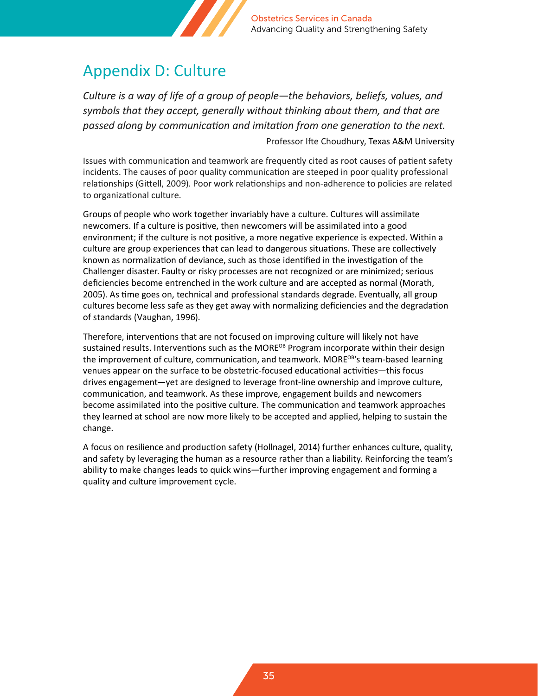

## <span id="page-34-0"></span>Appendix D: Culture

*Culture is a way of life of a group of people—the behaviors, beliefs, values, and symbols that they accept, generally without thinking about them, and that are passed along by communication and imitation from one generation to the next.*

Professor Ifte Choudhury, Texas A&M University

Issues with communication and teamwork are frequently cited as root causes of patient safety incidents. The causes of poor quality communication are steeped in poor quality professional relationships (Gittell, 2009). Poor work relationships and non-adherence to policies are related to organizational culture.

Groups of people who work together invariably have a culture. Cultures will assimilate newcomers. If a culture is positive, then newcomers will be assimilated into a good environment; if the culture is not positive, a more negative experience is expected. Within a culture are group experiences that can lead to dangerous situations. These are collectively known as normalization of deviance, such as those identified in the investigation of the Challenger disaster. Faulty or risky processes are not recognized or are minimized; serious deficiencies become entrenched in the work culture and are accepted as normal (Morath, 2005). As time goes on, technical and professional standards degrade. Eventually, all group cultures become less safe as they get away with normalizing deficiencies and the degradation of standards (Vaughan, 1996).

Therefore, interventions that are not focused on improving culture will likely not have sustained results. Interventions such as the MORE<sup>OB</sup> Program incorporate within their design the improvement of culture, communication, and teamwork. MORE<sup>OB'</sup>s team-based learning venues appear on the surface to be obstetric-focused educational activities—this focus drives engagement—yet are designed to leverage front-line ownership and improve culture, communication, and teamwork. As these improve, engagement builds and newcomers become assimilated into the positive culture. The communication and teamwork approaches they learned at school are now more likely to be accepted and applied, helping to sustain the change.

A focus on resilience and production safety (Hollnagel, 2014) further enhances culture, quality, and safety by leveraging the human as a resource rather than a liability. Reinforcing the team's ability to make changes leads to quick wins—further improving engagement and forming a quality and culture improvement cycle.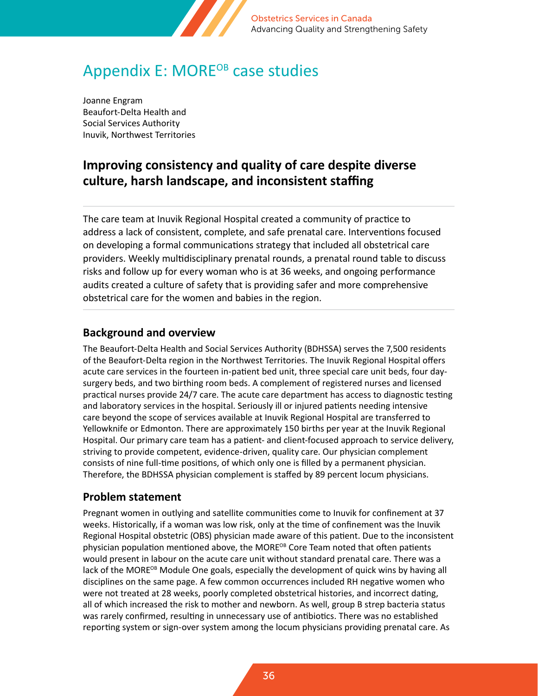

## <span id="page-35-0"></span>Appendix E: MORE<sup>OB</sup> case studies

Joanne Engram Beaufort-Delta Health and Social Services Authority Inuvik, Northwest Territories

### **Improving consistency and quality of care despite diverse culture, harsh landscape, and inconsistent staffing**

The care team at Inuvik Regional Hospital created a community of practice to address a lack of consistent, complete, and safe prenatal care. Interventions focused on developing a formal communications strategy that included all obstetrical care providers. Weekly multidisciplinary prenatal rounds, a prenatal round table to discuss risks and follow up for every woman who is at 36 weeks, and ongoing performance audits created a culture of safety that is providing safer and more comprehensive obstetrical care for the women and babies in the region.

#### **Background and overview**

The Beaufort-Delta Health and Social Services Authority (BDHSSA) serves the 7,500 residents of the Beaufort-Delta region in the Northwest Territories. The Inuvik Regional Hospital offers acute care services in the fourteen in-patient bed unit, three special care unit beds, four daysurgery beds, and two birthing room beds. A complement of registered nurses and licensed practical nurses provide 24/7 care. The acute care department has access to diagnostic testing and laboratory services in the hospital. Seriously ill or injured patients needing intensive care beyond the scope of services available at Inuvik Regional Hospital are transferred to Yellowknife or Edmonton. There are approximately 150 births per year at the Inuvik Regional Hospital. Our primary care team has a patient- and client-focused approach to service delivery, striving to provide competent, evidence-driven, quality care. Our physician complement consists of nine full-time positions, of which only one is filled by a permanent physician. Therefore, the BDHSSA physician complement is staffed by 89 percent locum physicians.

#### **Problem statement**

Pregnant women in outlying and satellite communities come to Inuvik for confinement at 37 weeks. Historically, if a woman was low risk, only at the time of confinement was the Inuvik Regional Hospital obstetric (OBS) physician made aware of this patient. Due to the inconsistent physician population mentioned above, the MORE<sup>OB</sup> Core Team noted that often patients would present in labour on the acute care unit without standard prenatal care. There was a lack of the MORE<sup>OB</sup> Module One goals, especially the development of quick wins by having all disciplines on the same page. A few common occurrences included RH negative women who were not treated at 28 weeks, poorly completed obstetrical histories, and incorrect dating, all of which increased the risk to mother and newborn. As well, group B strep bacteria status was rarely confirmed, resulting in unnecessary use of antibiotics. There was no established reporting system or sign-over system among the locum physicians providing prenatal care. As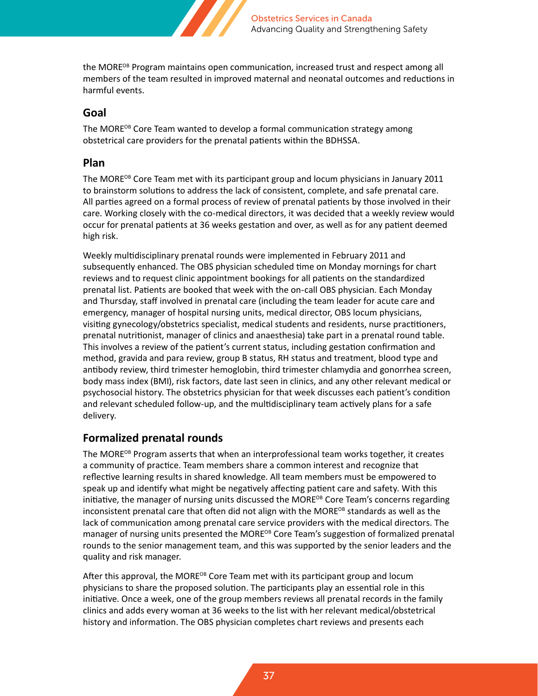

the MORE<sup>OB</sup> Program maintains open communication, increased trust and respect among all members of the team resulted in improved maternal and neonatal outcomes and reductions in harmful events.

#### **Goal**

The MORE<sup>OB</sup> Core Team wanted to develop a formal communication strategy among obstetrical care providers for the prenatal patients within the BDHSSA.

#### **Plan**

The MORE<sup>OB</sup> Core Team met with its participant group and locum physicians in January 2011 to brainstorm solutions to address the lack of consistent, complete, and safe prenatal care. All parties agreed on a formal process of review of prenatal patients by those involved in their care. Working closely with the co-medical directors, it was decided that a weekly review would occur for prenatal patients at 36 weeks gestation and over, as well as for any patient deemed high risk.

Weekly multidisciplinary prenatal rounds were implemented in February 2011 and subsequently enhanced. The OBS physician scheduled time on Monday mornings for chart reviews and to request clinic appointment bookings for all patients on the standardized prenatal list. Patients are booked that week with the on-call OBS physician. Each Monday and Thursday, staff involved in prenatal care (including the team leader for acute care and emergency, manager of hospital nursing units, medical director, OBS locum physicians, visiting gynecology/obstetrics specialist, medical students and residents, nurse practitioners, prenatal nutritionist, manager of clinics and anaesthesia) take part in a prenatal round table. This involves a review of the patient's current status, including gestation confirmation and method, gravida and para review, group B status, RH status and treatment, blood type and antibody review, third trimester hemoglobin, third trimester chlamydia and gonorrhea screen, body mass index (BMI), risk factors, date last seen in clinics, and any other relevant medical or psychosocial history. The obstetrics physician for that week discusses each patient's condition and relevant scheduled follow-up, and the multidisciplinary team actively plans for a safe delivery.

#### **Formalized prenatal rounds**

The MORE<sup>OB</sup> Program asserts that when an interprofessional team works together, it creates a community of practice. Team members share a common interest and recognize that reflective learning results in shared knowledge. All team members must be empowered to speak up and identify what might be negatively affecting patient care and safety. With this initiative, the manager of nursing units discussed the MORE<sup>OB</sup> Core Team's concerns regarding inconsistent prenatal care that often did not align with the MORE<sup>OB</sup> standards as well as the lack of communication among prenatal care service providers with the medical directors. The manager of nursing units presented the MORE<sup>OB</sup> Core Team's suggestion of formalized prenatal rounds to the senior management team, and this was supported by the senior leaders and the quality and risk manager.

After this approval, the MORE<sup>OB</sup> Core Team met with its participant group and locum physicians to share the proposed solution. The participants play an essential role in this initiative. Once a week, one of the group members reviews all prenatal records in the family clinics and adds every woman at 36 weeks to the list with her relevant medical/obstetrical history and information. The OBS physician completes chart reviews and presents each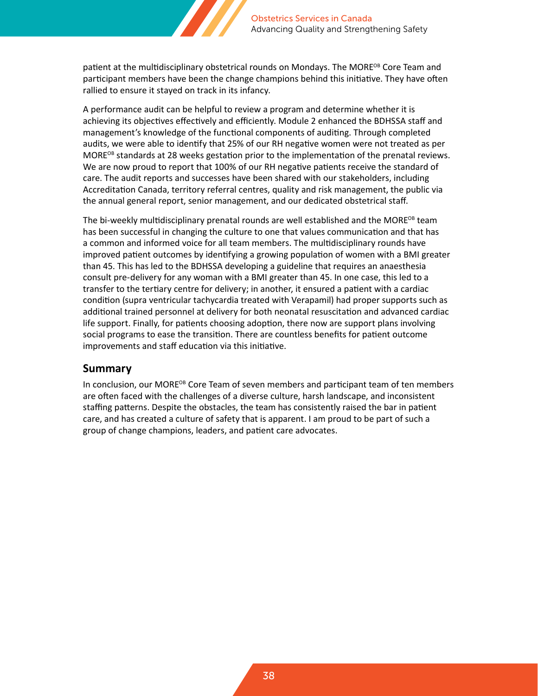

patient at the multidisciplinary obstetrical rounds on Mondays. The MORE<sup>OB</sup> Core Team and participant members have been the change champions behind this initiative. They have often rallied to ensure it stayed on track in its infancy.

A performance audit can be helpful to review a program and determine whether it is achieving its objectives effectively and efficiently. Module 2 enhanced the BDHSSA staff and management's knowledge of the functional components of auditing. Through completed audits, we were able to identify that 25% of our RH negative women were not treated as per MORE<sup>OB</sup> standards at 28 weeks gestation prior to the implementation of the prenatal reviews. We are now proud to report that 100% of our RH negative patients receive the standard of care. The audit reports and successes have been shared with our stakeholders, including Accreditation Canada, territory referral centres, quality and risk management, the public via the annual general report, senior management, and our dedicated obstetrical staff.

The bi-weekly multidisciplinary prenatal rounds are well established and the MORE<sup>OB</sup> team has been successful in changing the culture to one that values communication and that has a common and informed voice for all team members. The multidisciplinary rounds have improved patient outcomes by identifying a growing population of women with a BMI greater than 45. This has led to the BDHSSA developing a guideline that requires an anaesthesia consult pre-delivery for any woman with a BMI greater than 45. In one case, this led to a transfer to the tertiary centre for delivery; in another, it ensured a patient with a cardiac condition (supra ventricular tachycardia treated with Verapamil) had proper supports such as additional trained personnel at delivery for both neonatal resuscitation and advanced cardiac life support. Finally, for patients choosing adoption, there now are support plans involving social programs to ease the transition. There are countless benefits for patient outcome improvements and staff education via this initiative.

#### **Summary**

In conclusion, our MORE<sup>OB</sup> Core Team of seven members and participant team of ten members are often faced with the challenges of a diverse culture, harsh landscape, and inconsistent staffing patterns. Despite the obstacles, the team has consistently raised the bar in patient care, and has created a culture of safety that is apparent. I am proud to be part of such a group of change champions, leaders, and patient care advocates.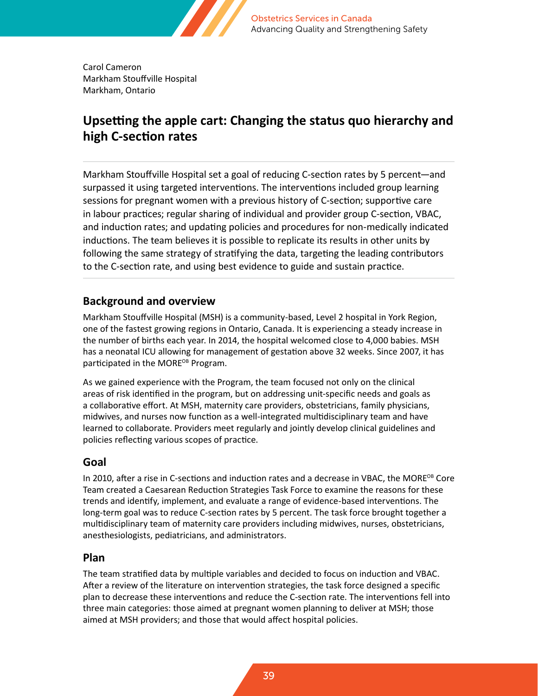

Carol Cameron Markham Stouffville Hospital Markham, Ontario

### **Upsetting the apple cart: Changing the status quo hierarchy and high C-section rates**

Markham Stouffville Hospital set a goal of reducing C-section rates by 5 percent—and surpassed it using targeted interventions. The interventions included group learning sessions for pregnant women with a previous history of C-section; supportive care in labour practices; regular sharing of individual and provider group C-section, VBAC, and induction rates; and updating policies and procedures for non-medically indicated inductions. The team believes it is possible to replicate its results in other units by following the same strategy of stratifying the data, targeting the leading contributors to the C-section rate, and using best evidence to guide and sustain practice.

#### **Background and overview**

Markham Stouffville Hospital (MSH) is a community-based, Level 2 hospital in York Region, one of the fastest growing regions in Ontario, Canada. It is experiencing a steady increase in the number of births each year. In 2014, the hospital welcomed close to 4,000 babies. MSH has a neonatal ICU allowing for management of gestation above 32 weeks. Since 2007, it has participated in the MORE<sup>OB</sup> Program.

As we gained experience with the Program, the team focused not only on the clinical areas of risk identified in the program, but on addressing unit-specific needs and goals as a collaborative effort. At MSH, maternity care providers, obstetricians, family physicians, midwives, and nurses now function as a well-integrated multidisciplinary team and have learned to collaborate. Providers meet regularly and jointly develop clinical guidelines and policies reflecting various scopes of practice.

#### **Goal**

In 2010, after a rise in C-sections and induction rates and a decrease in VBAC, the MORE<sup>OB</sup> Core Team created a Caesarean Reduction Strategies Task Force to examine the reasons for these trends and identify, implement, and evaluate a range of evidence-based interventions. The long-term goal was to reduce C-section rates by 5 percent. The task force brought together a multidisciplinary team of maternity care providers including midwives, nurses, obstetricians, anesthesiologists, pediatricians, and administrators.

#### **Plan**

The team stratified data by multiple variables and decided to focus on induction and VBAC. After a review of the literature on intervention strategies, the task force designed a specific plan to decrease these interventions and reduce the C-section rate. The interventions fell into three main categories: those aimed at pregnant women planning to deliver at MSH; those aimed at MSH providers; and those that would affect hospital policies.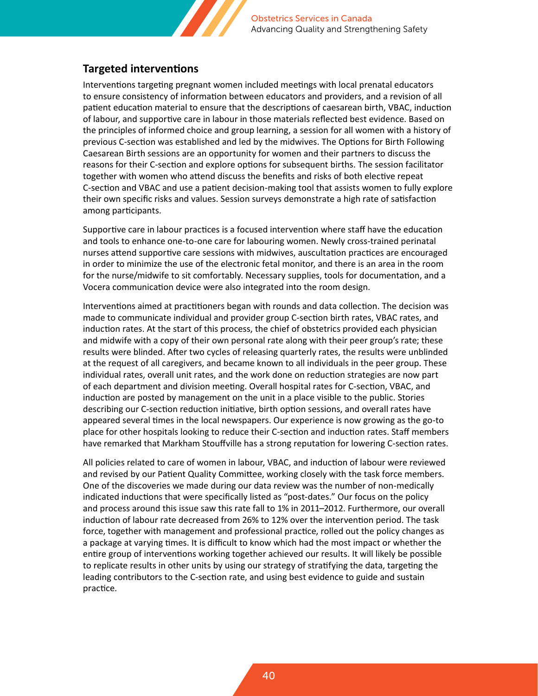

### **Targeted interventions**

Interventions targeting pregnant women included meetings with local prenatal educators to ensure consistency of information between educators and providers, and a revision of all patient education material to ensure that the descriptions of caesarean birth, VBAC, induction of labour, and supportive care in labour in those materials reflected best evidence. Based on the principles of informed choice and group learning, a session for all women with a history of previous C-section was established and led by the midwives. The Options for Birth Following Caesarean Birth sessions are an opportunity for women and their partners to discuss the reasons for their C-section and explore options for subsequent births. The session facilitator together with women who attend discuss the benefits and risks of both elective repeat C-section and VBAC and use a patient decision-making tool that assists women to fully explore their own specific risks and values. Session surveys demonstrate a high rate of satisfaction among participants.

Supportive care in labour practices is a focused intervention where staff have the education and tools to enhance one-to-one care for labouring women. Newly cross-trained perinatal nurses attend supportive care sessions with midwives, auscultation practices are encouraged in order to minimize the use of the electronic fetal monitor, and there is an area in the room for the nurse/midwife to sit comfortably. Necessary supplies, tools for documentation, and a Vocera communication device were also integrated into the room design.

Interventions aimed at practitioners began with rounds and data collection. The decision was made to communicate individual and provider group C-section birth rates, VBAC rates, and induction rates. At the start of this process, the chief of obstetrics provided each physician and midwife with a copy of their own personal rate along with their peer group's rate; these results were blinded. After two cycles of releasing quarterly rates, the results were unblinded at the request of all caregivers, and became known to all individuals in the peer group. These individual rates, overall unit rates, and the work done on reduction strategies are now part of each department and division meeting. Overall hospital rates for C-section, VBAC, and induction are posted by management on the unit in a place visible to the public. Stories describing our C-section reduction initiative, birth option sessions, and overall rates have appeared several times in the local newspapers. Our experience is now growing as the go-to place for other hospitals looking to reduce their C-section and induction rates. Staff members have remarked that Markham Stouffville has a strong reputation for lowering C-section rates.

All policies related to care of women in labour, VBAC, and induction of labour were reviewed and revised by our Patient Quality Committee, working closely with the task force members. One of the discoveries we made during our data review was the number of non-medically indicated inductions that were specifically listed as "post-dates." Our focus on the policy and process around this issue saw this rate fall to 1% in 2011–2012. Furthermore, our overall induction of labour rate decreased from 26% to 12% over the intervention period. The task force, together with management and professional practice, rolled out the policy changes as a package at varying times. It is difficult to know which had the most impact or whether the entire group of interventions working together achieved our results. It will likely be possible to replicate results in other units by using our strategy of stratifying the data, targeting the leading contributors to the C-section rate, and using best evidence to guide and sustain practice.